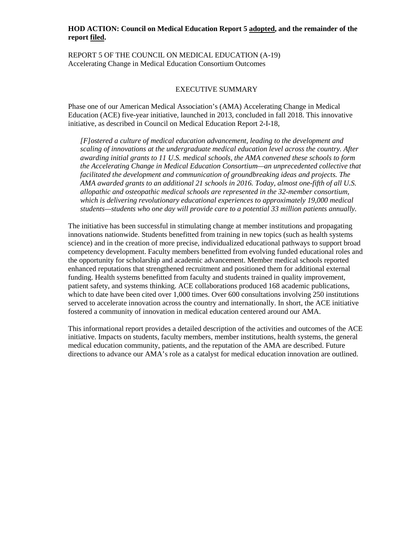## **HOD ACTION: Council on Medical Education Report 5 adopted, and the remainder of the report filed.**

REPORT 5 OF THE COUNCIL ON MEDICAL EDUCATION (A-19) Accelerating Change in Medical Education Consortium Outcomes

## EXECUTIVE SUMMARY

Phase one of our American Medical Association's (AMA) Accelerating Change in Medical Education (ACE) five-year initiative, launched in 2013, concluded in fall 2018. This innovative initiative, as described in Council on Medical Education Report 2-I-18,

*[F]ostered a culture of medical education advancement, leading to the development and scaling of innovations at the undergraduate medical education level across the country. After awarding initial grants to 11 U.S. medical schools, the AMA convened these schools to form the Accelerating Change in Medical Education Consortium—an unprecedented collective that facilitated the development and communication of groundbreaking ideas and projects. The AMA awarded grants to an additional 21 schools in 2016. Today, almost one-fifth of all U.S. allopathic and osteopathic medical schools are represented in the 32-member consortium, which is delivering revolutionary educational experiences to approximately 19,000 medical students—students who one day will provide care to a potential 33 million patients annually.*

The initiative has been successful in stimulating change at member institutions and propagating innovations nationwide. Students benefitted from training in new topics (such as health systems science) and in the creation of more precise, individualized educational pathways to support broad competency development. Faculty members benefitted from evolving funded educational roles and the opportunity for scholarship and academic advancement. Member medical schools reported enhanced reputations that strengthened recruitment and positioned them for additional external funding. Health systems benefitted from faculty and students trained in quality improvement, patient safety, and systems thinking. ACE collaborations produced 168 academic publications, which to date have been cited over 1,000 times. Over 600 consultations involving 250 institutions served to accelerate innovation across the country and internationally. In short, the ACE initiative fostered a community of innovation in medical education centered around our AMA.

This informational report provides a detailed description of the activities and outcomes of the ACE initiative. Impacts on students, faculty members, member institutions, health systems, the general medical education community, patients, and the reputation of the AMA are described. Future directions to advance our AMA's role as a catalyst for medical education innovation are outlined.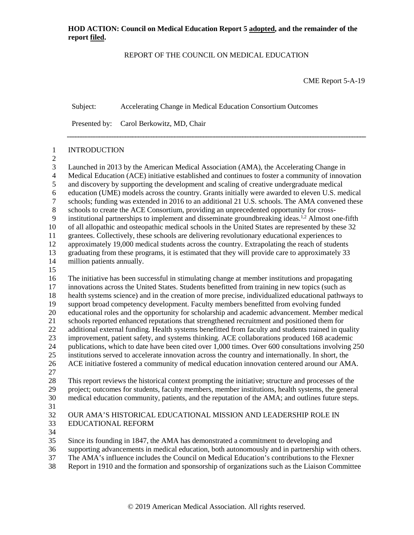## REPORT OF THE COUNCIL ON MEDICAL EDUCATION

CME Report 5-A-19

Subject: Accelerating Change in Medical Education Consortium Outcomes

Presented by: Carol Berkowitz, MD, Chair

### INTRODUCTION

 3 Launched in 2013 by the American Medical Association (AMA), the Accelerating Change in<br>4 Medical Education (ACE) initiative established and continues to foster a community of innova Medical Education (ACE) initiative established and continues to foster a community of innovation and discovery by supporting the development and scaling of creative undergraduate medical 6 education (UME) models across the country. Grants initially were awarded to eleven U.S. medical<br>7 schools: funding was extended in 2016 to an additional 21 U.S. schools. The AMA convened these schools; funding was extended in 2016 to an additional 21 U.S. schools. The AMA convened these schools to create the ACE Consortium, providing an unprecedented opportunity for cross-9 institutional partnerships to implement and disseminate groundbreaking ideas.<sup>1,2</sup> Almost one-fifth of all allopathic and osteopathic medical schools in the United States are represented by these 32 grantees. Collectively, these schools are delivering revolutionary educational experiences to approximately 19,000 medical students across the country. Extrapolating the reach of students 13 graduating from these programs, it is estimated that they will provide care to approximately 33 million patients annually. million patients annually. The initiative has been successful in stimulating change at member institutions and propagating innovations across the United States. Students benefitted from training in new topics (such as health systems science) and in the creation of more precise, individualized educational pathways to support broad competency development. Faculty members benefitted from evolving funded educational roles and the opportunity for scholarship and academic advancement. Member medical schools reported enhanced reputations that strengthened recruitment and positioned them for 22 additional external funding. Health systems benefitted from faculty and students trained in quality improvement, patient safety, and systems thinking. ACE collaborations produced 168 academic publications, which to date have been cited over 1,000 times. Over 600 consultations involving 250 institutions served to accelerate innovation across the country and internationally. In short, the ACE initiative fostered a community of medical education innovation centered around our AMA. This report reviews the historical context prompting the initiative; structure and processes of the project; outcomes for students, faculty members, member institutions, health systems, the general medical education community, patients, and the reputation of the AMA; and outlines future steps.

## OUR AMA'S HISTORICAL EDUCATIONAL MISSION AND LEADERSHIP ROLE IN EDUCATIONAL REFORM

Since its founding in 1847, the AMA has demonstrated a commitment to developing and

supporting advancements in medical education, both autonomously and in partnership with others.

- The AMA's influence includes the Council on Medical Education's contributions to the Flexner
- Report in 1910 and the formation and sponsorship of organizations such as the Liaison Committee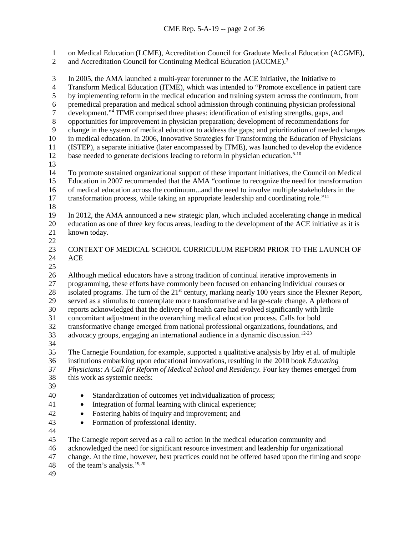on Medical Education (LCME), Accreditation Council for Graduate Medical Education (ACGME),

2 and Accreditation Council for Continuing Medical Education (ACCME).<sup>3</sup>

 In 2005, the AMA launched a multi-year forerunner to the ACE initiative, the Initiative to Transform Medical Education (ITME), which was intended to "Promote excellence in patient care by implementing reform in the medical education and training system across the continuum, from premedical preparation and medical school admission through continuing physician professional development."<sup>4</sup> ITME comprised three phases: identification of existing strengths, gaps, and<br>8 opportunities for improvement in physician preparation; development of recommendations for opportunities for improvement in physician preparation; development of recommendations for change in the system of medical education to address the gaps; and prioritization of needed changes in medical education. In 2006, Innovative Strategies for Transforming the Education of Physicians (ISTEP), a separate initiative (later encompassed by ITME), was launched to develop the evidence 12 base needed to generate decisions leading to reform in physician education.<sup>5-10</sup> To promote sustained organizational support of these important initiatives, the Council on Medical Education in 2007 recommended that the AMA "continue to recognize the need for transformation of medical education across the continuum...and the need to involve multiple stakeholders in the transformation process, while taking an appropriate leadership and coordinating role*.*"11 In 2012, the AMA announced a new strategic plan, which included accelerating change in medical education as one of three key focus areas, leading to the development of the ACE initiative as it is known today.  $\frac{22}{23}$  CONTEXT OF MEDICAL SCHOOL CURRICULUM REFORM PRIOR TO THE LAUNCH OF ACE Although medical educators have a strong tradition of continual iterative improvements in programming, these efforts have commonly been focused on enhancing individual courses or 28 isolated programs. The turn of the 21<sup>st</sup> century, marking nearly 100 years since the Flexner Report, served as a stimulus to contemplate more transformative and large-scale change. A plethora of reports acknowledged that the delivery of health care had evolved significantly with little concomitant adjustment in the overarching medical education process. Calls for bold transformative change emerged from national professional organizations, foundations, and 33 advocacy groups, engaging an international audience in a dynamic discussion.<sup>12-23</sup> The Carnegie Foundation, for example, supported a qualitative analysis by Irby et al. of multiple institutions embarking upon educational innovations, resulting in the 2010 book *Educating Physicians: A Call for Reform of Medical School and Residency.* Four key themes emerged from this work as systemic needs: • Standardization of outcomes yet individualization of process; 41 • Integration of formal learning with clinical experience; • Fostering habits of inquiry and improvement; and • Formation of professional identity. The Carnegie report served as a call to action in the medical education community and acknowledged the need for significant resource investment and leadership for organizational change. At the time, however, best practices could not be offered based upon the timing and scope 48 of the team's analysis.<sup>19,20</sup>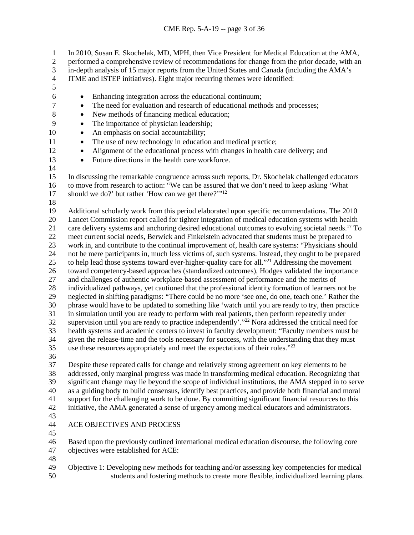1 In 2010, Susan E. Skochelak, MD, MPH, then Vice President for Medical Education at the AMA,<br>2 eerformed a comprehensive review of recommendations for change from the prior decade, with an

performed a comprehensive review of recommendations for change from the prior decade, with an

3 in-depth analysis of 15 major reports from the United States and Canada (including the AMA's ITME and ISTEP initiatives). Eight major recurring the mes were identified:

- ITME and ISTEP initiatives). Eight major recurring themes were identified:
- 
- Enhancing integration across the educational continuum;
- The need for evaluation and research of educational methods and processes;
- 8 New methods of financing medical education;
- The importance of physician leadership;
- 10 An emphasis on social accountability;
- 11 The use of new technology in education and medical practice;
- Alignment of the educational process with changes in health care delivery; and
- Future directions in the health care workforce.
- In discussing the remarkable congruence across such reports, Dr. Skochelak challenged educators to move from research to action: "We can be assured that we don't need to keep asking 'What
- 17 should we do?' but rather 'How can we get there?'"<sup>12</sup>
- 

 Additional scholarly work from this period elaborated upon specific recommendations. The 2010 Lancet Commission report called for tighter integration of medical education systems with health 21 care delivery systems and anchoring desired educational outcomes to evolving societal needs.<sup>17</sup> To meet current social needs, Berwick and Finkelstein advocated that students must be prepared to work in, and contribute to the continual improvement of, health care systems: "Physicians should not be mere participants in, much less victims of, such systems. Instead, they ought to be prepared 25 to help lead those systems toward ever-higher-quality care for all.<sup>"21</sup> Addressing the movement 26 toward competency-based approaches (standardized outcomes), Hodges validated the importance<br>27 and challenges of authentic workplace-based assessment of performance and the merits of and challenges of authentic workplace-based assessment of performance and the merits of individualized pathways, yet cautioned that the professional identity formation of learners not be neglected in shifting paradigms: "There could be no more 'see one, do one, teach one.' Rather the phrase would have to be updated to something like 'watch until you are ready to try, then practice in simulation until you are ready to perform with real patients, then perform repeatedly under 32 supervision until you are ready to practice independently'."<sup>22</sup> Nora addressed the critical need for health systems and academic centers to invest in faculty development: "Faculty members must be given the release-time and the tools necessary for success, with the understanding that they must use these resources appropriately and meet the expectations of their roles*.*"23

 Despite these repeated calls for change and relatively strong agreement on key elements to be addressed, only marginal progress was made in transforming medical education. Recognizing that significant change may lie beyond the scope of individual institutions, the AMA stepped in to serve as a guiding body to build consensus, identify best practices, and provide both financial and moral support for the challenging work to be done. By committing significant financial resources to this initiative, the AMA generated a sense of urgency among medical educators and administrators.

- 
- ACE OBJECTIVES AND PROCESS
- 

 Based upon the previously outlined international medical education discourse, the following core objectives were established for ACE:

 Objective 1: Developing new methods for teaching and/or assessing key competencies for medical students and fostering methods to create more flexible, individualized learning plans.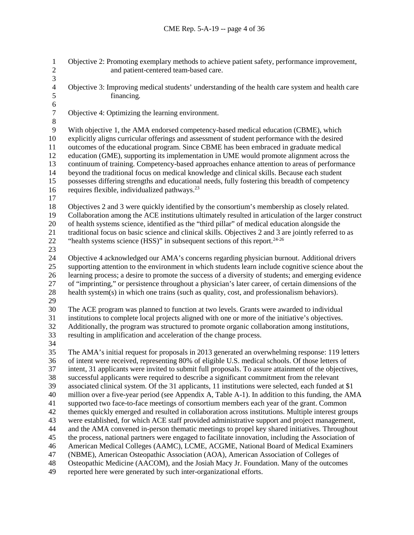Objective 2: Promoting exemplary methods to achieve patient safety, performance improvement, and patient-centered team-based care.  $\frac{3}{4}$ 4 Objective 3: Improving medical students' understanding of the health care system and health care financing. financing. 6<br>7 Objective 4: Optimizing the learning environment. With objective 1, the AMA endorsed competency-based medical education (CBME), which explicitly aligns curricular offerings and assessment of student performance with the desired outcomes of the educational program. Since CBME has been embraced in graduate medical education (GME), supporting its implementation in UME would promote alignment across the continuum of training. Competency-based approaches enhance attention to areas of performance beyond the traditional focus on medical knowledge and clinical skills. Because each student possesses differing strengths and educational needs, fully fostering this breadth of competency 16 requires flexible, individualized pathways. $^{23}$  Objectives 2 and 3 were quickly identified by the consortium's membership as closely related. Collaboration among the ACE institutions ultimately resulted in articulation of the larger construct of health systems science, identified as the "third pillar" of medical education alongside the traditional focus on basic science and clinical skills. Objectives 2 and 3 are jointly referred to as 22 "health systems science (HSS)" in subsequent sections of this report.<sup>24-26</sup> Objective 4 acknowledged our AMA's concerns regarding physician burnout. Additional drivers supporting attention to the environment in which students learn include cognitive science about the learning process; a desire to promote the success of a diversity of students; and emerging evidence of "imprinting," or persistence throughout a physician's later career, of certain dimensions of the health system(s) in which one trains (such as quality, cost, and professionalism behaviors). 29<br>30 The ACE program was planned to function at two levels. Grants were awarded to individual institutions to complete local projects aligned with one or more of the initiative's objectives. Additionally, the program was structured to promote organic collaboration among institutions, resulting in amplification and acceleration of the change process. The AMA's initial request for proposals in 2013 generated an overwhelming response: 119 letters of intent were received, representing 80% of eligible U.S. medical schools. Of those letters of intent, 31 applicants were invited to submit full proposals. To assure attainment of the objectives, successful applicants were required to describe a significant commitment from the relevant associated clinical system. Of the 31 applicants, 11 institutions were selected, each funded at \$1 million over a five-year period (see Appendix A, Table A-1). In addition to this funding, the AMA supported two face-to-face meetings of consortium members each year of the grant. Common themes quickly emerged and resulted in collaboration across institutions. Multiple interest groups were established, for which ACE staff provided administrative support and project management, and the AMA convened in-person thematic meetings to propel key shared initiatives. Throughout the process, national partners were engaged to facilitate innovation, including the Association of American Medical Colleges (AAMC), LCME, ACGME, National Board of Medical Examiners (NBME), American Osteopathic Association (AOA), American Association of Colleges of Osteopathic Medicine (AACOM), and the Josiah Macy Jr. Foundation. Many of the outcomes reported here were generated by such inter-organizational efforts.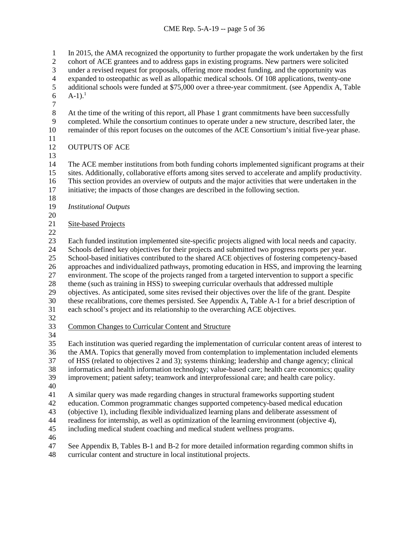1 In 2015, the AMA recognized the opportunity to further propagate the work undertaken by the first cohort of ACE grantees and to address gaps in existing programs. New partners were solicited cohort of ACE grantees and to address gaps in existing programs. New partners were solicited 3 under a revised request for proposals, offering more modest funding, and the opportunity was expanded to osteopathic as well as allopathic medical schools. Of 108 applications, twenty-one 4 expanded to osteopathic as well as allopathic medical schools. Of 108 applications, twenty-one<br>5 additional schools were funded at \$75,000 over a three-year commitment. (see Appendix A, Tal additional schools were funded at \$75,000 over a three-year commitment. (see Appendix A, Table  $A-1$ ).<sup>1</sup> 8 At the time of the writing of this report, all Phase 1 grant commitments have been successfully<br>9 completed. While the consortium continues to operate under a new structure, described later, th completed. While the consortium continues to operate under a new structure, described later, the remainder of this report focuses on the outcomes of the ACE Consortium's initial five-year phase. OUTPUTS OF ACE The ACE member institutions from both funding cohorts implemented significant programs at their sites. Additionally, collaborative efforts among sites served to accelerate and amplify productivity. This section provides an overview of outputs and the major activities that were undertaken in the initiative; the impacts of those changes are described in the following section. *Institutional Outputs* Site-based Projects Each funded institution implemented site-specific projects aligned with local needs and capacity. Schools defined key objectives for their projects and submitted two progress reports per year. School-based initiatives contributed to the shared ACE objectives of fostering competency-based approaches and individualized pathways, promoting education in HSS, and improving the learning environment. The scope of the projects ranged from a targeted intervention to support a specific theme (such as training in HSS) to sweeping curricular overhauls that addressed multiple objectives. As anticipated, some sites revised their objectives over the life of the grant. Despite 30 these recalibrations, core themes persisted. See Appendix A, Table A-1 for a brief description of each school's project and its relationship to the overarching ACE objectives. each school's project and its relationship to the overarching ACE objectives. Common Changes to Curricular Content and Structure Each institution was queried regarding the implementation of curricular content areas of interest to the AMA. Topics that generally moved from contemplation to implementation included elements of HSS (related to objectives 2 and 3); systems thinking; leadership and change agency; clinical informatics and health information technology; value-based care; health care economics; quality improvement; patient safety; teamwork and interprofessional care; and health care policy. A similar query was made regarding changes in structural frameworks supporting student education. Common programmatic changes supported competency-based medical education (objective 1), including flexible individualized learning plans and deliberate assessment of readiness for internship, as well as optimization of the learning environment (objective 4), including medical student coaching and medical student wellness programs. See Appendix B, Tables B-1 and B-2 for more detailed information regarding common shifts in curricular content and structure in local institutional projects.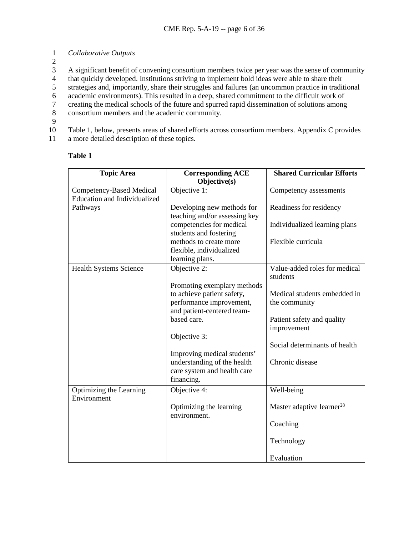1 *Collaborative Outputs*

2

3 A significant benefit of convening consortium members twice per year was the sense of community<br>4 that quickly developed. Institutions striving to implement bold ideas were able to share their

4 that quickly developed. Institutions striving to implement bold ideas were able to share their<br>5 strategies and, importantly, share their struggles and failures (an uncommon practice in tradit

5 strategies and, importantly, share their struggles and failures (an uncommon practice in traditional

6 academic environments). This resulted in a deep, shared commitment to the difficult work of creating the medical schools of the future and spurred rapid dissemination of solutions among

7 creating the medical schools of the future and spurred rapid dissemination of solutions among<br>8 consortium members and the academic community.

- consortium members and the academic community.
- 9

10 Table 1, below, presents areas of shared efforts across consortium members. Appendix C provides

11 a more detailed description of these topics.

| <b>Topic Area</b>                               | <b>Corresponding ACE</b><br>Objective(s)                                                                                                           | <b>Shared Curricular Efforts</b>                                                           |
|-------------------------------------------------|----------------------------------------------------------------------------------------------------------------------------------------------------|--------------------------------------------------------------------------------------------|
| Competency-Based Medical                        | Objective 1:                                                                                                                                       | Competency assessments                                                                     |
| <b>Education and Individualized</b><br>Pathways | Developing new methods for<br>teaching and/or assessing key                                                                                        | Readiness for residency                                                                    |
|                                                 | competencies for medical<br>students and fostering                                                                                                 | Individualized learning plans                                                              |
|                                                 | methods to create more<br>flexible, individualized<br>learning plans.                                                                              | Flexible curricula                                                                         |
| <b>Health Systems Science</b>                   | Objective 2:                                                                                                                                       | Value-added roles for medical<br>students                                                  |
|                                                 | Promoting exemplary methods<br>to achieve patient safety,<br>performance improvement,<br>and patient-centered team-<br>based care.<br>Objective 3: | Medical students embedded in<br>the community<br>Patient safety and quality<br>improvement |
|                                                 |                                                                                                                                                    | Social determinants of health                                                              |
|                                                 | Improving medical students'<br>understanding of the health<br>care system and health care<br>financing.                                            | Chronic disease                                                                            |
| Optimizing the Learning<br>Environment          | Objective 4:                                                                                                                                       | Well-being                                                                                 |
|                                                 | Optimizing the learning<br>environment.                                                                                                            | Master adaptive learner <sup>28</sup>                                                      |
|                                                 |                                                                                                                                                    | Coaching                                                                                   |
|                                                 |                                                                                                                                                    | Technology                                                                                 |
|                                                 |                                                                                                                                                    | Evaluation                                                                                 |

## **Table 1**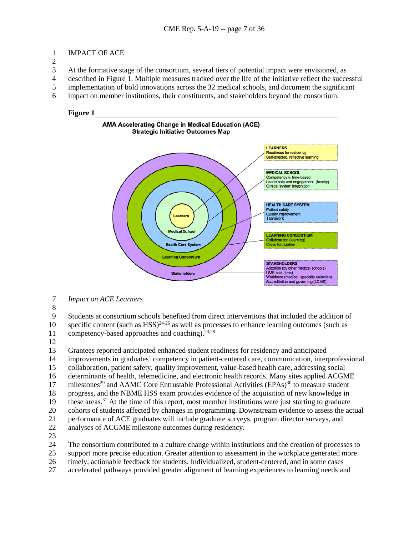## IMPACT OF ACE

At the formative stage of the consortium, several tiers of potential impact were envisioned, as

- described in Figure 1. Multiple measures tracked over the life of the initiative reflect the successful
- implementation of bold innovations across the 32 medical schools, and document the significant
- impact on member institutions, their constituents, and stakeholders beyond the consortium.

## **Figure 1**



- *Impact on ACE Learners*
- 

 Students at consortium schools benefited from direct interventions that included the addition of 10 specific content (such as HSS)<sup>24-26</sup> as well as processes to enhance learning outcomes (such as

- 11 competency-based approaches and coaching).<sup>23,28</sup>
- 

 Grantees reported anticipated enhanced student readiness for residency and anticipated 14 improvements in graduates' competency in patient-centered care, communication, interprofessional<br>15 collaboration, patient safety, quality improvement, value-based health care, addressing social collaboration, patient safety, quality improvement, value-based health care, addressing social determinants of health, telemedicine, and electronic health records. Many sites applied ACGME 17 milestones<sup>29</sup> and AAMC Core Entrustable Professional Activities (EPAs)<sup>30</sup> to measure student progress, and the NBME HSS exam provides evidence of the acquisition of new knowledge in these areas.<sup>31</sup> At the time of this report, most member institutions were just starting to graduate cohorts of students affected by changes in programming. Downstream evidence to assess the actual 21 performance of ACE graduates will include graduate surveys, program director surveys, and<br>22 analyses of ACGME milestone outcomes during residency.

- analyses of ACGME milestone outcomes during residency.
- 

The consortium contributed to a culture change within institutions and the creation of processes to

- support more precise education. Greater attention to assessment in the workplace generated more
- timely, actionable feedback for students. Individualized, student-centered, and in some cases
- accelerated pathways provided greater alignment of learning experiences to learning needs and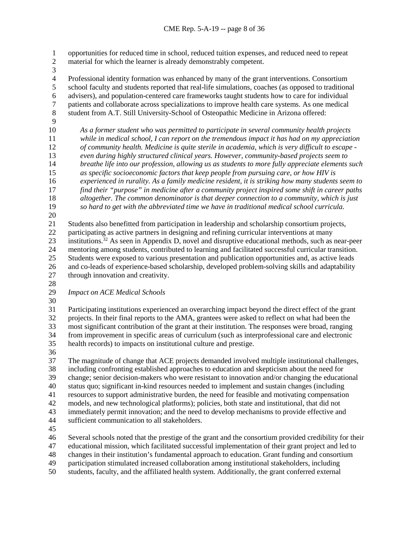1 opportunities for reduced time in school, reduced tuition expenses, and reduced need to repeat<br>2 material for which the learner is already demonstrably competent. material for which the learner is already demonstrably competent.

 $\frac{3}{4}$ 

4 Professional identity formation was enhanced by many of the grant interventions. Consortium<br>5 school faculty and students reported that real-life simulations, coaches (as opposed to tradition school faculty and students reported that real-life simulations, coaches (as opposed to traditional 6 advisers), and population-centered care frameworks taught students how to care for individual patients and collaborate across specializations to improve health care systems. As one medical patients and collaborate across specializations to improve health care systems. As one medical student from A.T. Still University-School of Osteopathic Medicine in Arizona offered:

 *As a former student who was permitted to participate in several community health projects while in medical school, I can report on the tremendous impact it has had on my appreciation of community health. Medicine is quite sterile in academia, which is very difficult to escape - even during highly structured clinical years. However, community-based projects seem to breathe life into our profession, allowing us as students to more fully appreciate elements such as specific socioeconomic factors that keep people from pursuing care, or how HIV is experienced in rurality. As a family medicine resident, it is striking how many students seem to find their "purpose" in medicine after a community project inspired some shift in career paths altogether. The common denominator is that deeper connection to a community, which is just so hard to get with the abbreviated time we have in traditional medical school curricula.*

 Students also benefitted from participation in leadership and scholarship consortium projects, participating as active partners in designing and refining curricular interventions at many 23 institutions.<sup>32</sup> As seen in Appendix D, novel and disruptive educational methods, such as near-peer<br>24 mentoring among students, contributed to learning and facilitated successful curricular transition. mentoring among students, contributed to learning and facilitated successful curricular transition. Students were exposed to various presentation and publication opportunities and, as active leads and co-leads of experience-based scholarship, developed problem-solving skills and adaptability through innovation and creativity.

- 
- 

*Impact on ACE Medical Schools*

30<br>31

 Participating institutions experienced an overarching impact beyond the direct effect of the grant projects. In their final reports to the AMA, grantees were asked to reflect on what had been the most significant contribution of the grant at their institution. The responses were broad, ranging from improvement in specific areas of curriculum (such as interprofessional care and electronic health records) to impacts on institutional culture and prestige.

 The magnitude of change that ACE projects demanded involved multiple institutional challenges, including confronting established approaches to education and skepticism about the need for change; senior decision-makers who were resistant to innovation and/or changing the educational status quo; significant in-kind resources needed to implement and sustain changes (including resources to support administrative burden, the need for feasible and motivating compensation models, and new technological platforms); policies, both state and institutional, that did not immediately permit innovation; and the need to develop mechanisms to provide effective and sufficient communication to all stakeholders.

Several schools noted that the prestige of the grant and the consortium provided credibility for their

educational mission, which facilitated successful implementation of their grant project and led to

changes in their institution's fundamental approach to education. Grant funding and consortium

participation stimulated increased collaboration among institutional stakeholders, including

students, faculty, and the affiliated health system. Additionally, the grant conferred external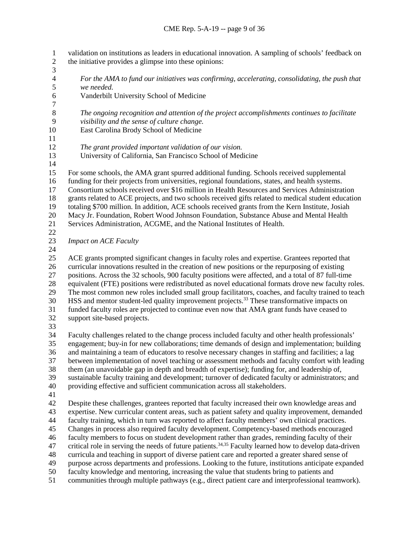1 validation on institutions as leaders in educational innovation. A sampling of schools' feedback on<br>2 the initiative provides a glimpse into these opinions: the initiative provides a glimpse into these opinions:  $\frac{3}{4}$  *For the AMA to fund our initiatives was confirming, accelerating, consolidating, the push that we needed.* Vanderbilt University School of Medicine  $\begin{array}{c} 7 \\ 8 \end{array}$  *The ongoing recognition and attention of the project accomplishments continues to facilitate visibility and the sense of culture change.* East Carolina Brody School of Medicine *The grant provided important validation of our vision.* University of California, San Francisco School of Medicine For some schools, the AMA grant spurred additional funding. Schools received supplemental funding for their projects from universities, regional foundations, states, and health systems. Consortium schools received over \$16 million in Health Resources and Services Administration grants related to ACE projects, and two schools received gifts related to medical student education totaling \$700 million. In addition, ACE schools received grants from the Kern Institute, Josiah Macy Jr. Foundation, Robert Wood Johnson Foundation, Substance Abuse and Mental Health Services Administration, ACGME, and the National Institutes of Health. *Impact on ACE Faculty*  ACE grants prompted significant changes in faculty roles and expertise. Grantees reported that curricular innovations resulted in the creation of new positions or the repurposing of existing positions. Across the 32 schools, 900 faculty positions were affected, and a total of 87 full-time equivalent (FTE) positions were redistributed as novel educational formats drove new faculty roles. The most common new roles included small group facilitators, coaches, and faculty trained to teach 30 HSS and mentor student-led quality improvement projects.<sup>33</sup> These transformative impacts on funded faculty roles are projected to continue even now that AMA grant funds have ceased to support site-based projects. Faculty challenges related to the change process included faculty and other health professionals' engagement; buy-in for new collaborations; time demands of design and implementation; building and maintaining a team of educators to resolve necessary changes in staffing and facilities; a lag between implementation of novel teaching or assessment methods and faculty comfort with leading them (an unavoidable gap in depth and breadth of expertise); funding for, and leadership of, sustainable faculty training and development; turnover of dedicated faculty or administrators; and providing effective and sufficient communication across all stakeholders. Despite these challenges, grantees reported that faculty increased their own knowledge areas and expertise. New curricular content areas, such as patient safety and quality improvement, demanded faculty training, which in turn was reported to affect faculty members' own clinical practices. Changes in process also required faculty development. Competency-based methods encouraged faculty members to focus on student development rather than grades, reminding faculty of their 47 critical role in serving the needs of future patients.<sup>34,35</sup> Faculty learned how to develop data-driven curricula and teaching in support of diverse patient care and reported a greater shared sense of purpose across departments and professions. Looking to the future, institutions anticipate expanded faculty knowledge and mentoring, increasing the value that students bring to patients and communities through multiple pathways (e.g., direct patient care and interprofessional teamwork).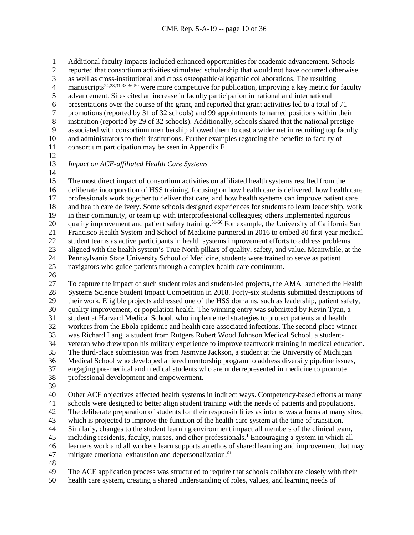Additional faculty impacts included enhanced opportunities for academic advancement. Schools 2 reported that consortium activities stimulated scholarship that would not have occurred otherwise,<br>3 as well as cross-institutional and cross osteopathic/allopathic collaborations. The resulting as well as cross-institutional and cross osteopathic/allopathic collaborations. The resulting manuscripts<sup>24,28,31,33,36-50</sup> were more competitive for publication, improving a key metric for faculty advancement. Sites cited an increase in faculty participation in national and international presentations over the course of the grant, and reported that grant activities led to a total of 71 7 promotions (reported by 31 of 32 schools) and 99 appointments to named positions within their<br>8 institution (reported by 29 of 32 schools). Additionally, schools shared that the national prestige institution (reported by 29 of 32 schools). Additionally, schools shared that the national prestige associated with consortium membership allowed them to cast a wider net in recruiting top faculty and administrators to their institutions. Further examples regarding the benefits to faculty of

- consortium participation may be seen in Appendix E.
- 

## *Impact on ACE-affiliated Health Care Systems*

 The most direct impact of consortium activities on affiliated health systems resulted from the deliberate incorporation of HSS training, focusing on how health care is delivered, how health care professionals work together to deliver that care, and how health systems can improve patient care and health care delivery. Some schools designed experiences for students to learn leadership, work in their community, or team up with interprofessional colleagues; others implemented rigorous 20 quality improvement and patient safety training.<sup>51-60</sup> For example, the University of California San Francisco Health System and School of Medicine partnered in 2016 to embed 80 first-year medical 22 student teams as active participants in health systems improvement efforts to address problems<br>23 aligned with the health system's True North pillars of quality, safety, and value. Meanwhile, at aligned with the health system's True North pillars of quality, safety, and value. Meanwhile, at the Pennsylvania State University School of Medicine, students were trained to serve as patient navigators who guide patients through a complex health care continuum.

 To capture the impact of such student roles and student-led projects, the AMA launched the Health Systems Science Student Impact Competition in 2018. Forty-six students submitted descriptions of 29 their work. Eligible projects addressed one of the HSS domains, such as leadership, patient safety,<br>30 quality improvement, or population health. The winning entry was submitted by Kevin Tyan, a quality improvement, or population health. The winning entry was submitted by Kevin Tyan, a student at Harvard Medical School, who implemented strategies to protect patients and health workers from the Ebola epidemic and health care-associated infections. The second-place winner was Richard Lang, a student from Rutgers Robert Wood Johnson Medical School, a student- veteran who drew upon his military experience to improve teamwork training in medical education. The third-place submission was from Jasmyne Jackson, a student at the University of Michigan Medical School who developed a tiered mentorship program to address diversity pipeline issues, engaging pre-medical and medical students who are underrepresented in medicine to promote professional development and empowerment.

 Other ACE objectives affected health systems in indirect ways. Competency-based efforts at many schools were designed to better align student training with the needs of patients and populations. The deliberate preparation of students for their responsibilities as interns was a focus at many sites, which is projected to improve the function of the health care system at the time of transition. Similarly, changes to the student learning environment impact all members of the clinical team, <sup>45</sup> including residents, faculty, nurses, and other professionals.<sup>1</sup> Encouraging a system in which all learners work and all workers learn supports an ethos of shared learning and improvement that may 47 mitigate emotional exhaustion and depersonalization.<sup>61</sup> 

- The ACE application process was structured to require that schools collaborate closely with their
- health care system, creating a shared understanding of roles, values, and learning needs of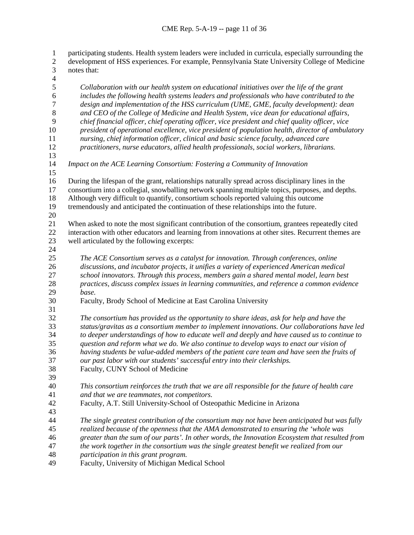1 participating students. Health system leaders were included in curricula, especially surrounding the<br>2 development of HSS experiences. For example, Pennsylvania State University College of Medicine development of HSS experiences. For example, Pennsylvania State University College of Medicine notes that: 4<br>5 *Collaboration with our health system on educational initiatives over the life of the grant includes the following health systems leaders and professionals who have contributed to the design and implementation of the HSS curriculum (UME, GME, faculty development): dean and CEO of the College of Medicine and Health System, vice dean for educational affairs, chief financial officer, chief operating officer, vice president and chief quality officer, vice president of operational excellence, vice president of population health, director of ambulatory nursing, chief information officer, clinical and basic science faculty, advanced care practitioners, nurse educators, allied health professionals, social workers, librarians. Impact on the ACE Learning Consortium: Fostering a Community of Innovation* During the lifespan of the grant, relationships naturally spread across disciplinary lines in the consortium into a collegial, snowballing network spanning multiple topics, purposes, and depths. Although very difficult to quantify, consortium schools reported valuing this outcome tremendously and anticipated the continuation of these relationships into the future. When asked to note the most significant contribution of the consortium, grantees repeatedly cited interaction with other educators and learning from innovations at other sites. Recurrent themes are well articulated by the following excerpts: *The ACE Consortium serves as a catalyst for innovation. Through conferences, online discussions, and incubator projects, it unifies a variety of experienced American medical school innovators. Through this process, members gain a shared mental model, learn best practices, discuss complex issues in learning communities, and reference a common evidence base.* Faculty, Brody School of Medicine at East Carolina University *The consortium has provided us the opportunity to share ideas, ask for help and have the status/gravitas as a consortium member to implement innovations. Our collaborations have led to deeper understandings of how to educate well and deeply and have caused us to continue to question and reform what we do. We also continue to develop ways to enact our vision of having students be value-added members of the patient care team and have seen the fruits of our past labor with our students' successful entry into their clerkships.*  Faculty, CUNY School of Medicine *This consortium reinforces the truth that we are all responsible for the future of health care and that we are teammates, not competitors.* Faculty, A.T. Still University-School of Osteopathic Medicine in Arizona *The single greatest contribution of the consortium may not have been anticipated but was fully realized because of the openness that the AMA demonstrated to ensuring the 'whole was greater than the sum of our parts'. In other words, the Innovation Ecosystem that resulted from the work together in the consortium was the single greatest benefit we realized from our participation in this grant program.*

Faculty, University of Michigan Medical School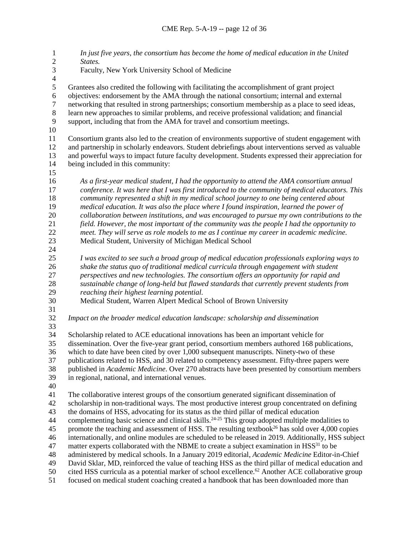*In just five years, the consortium has become the home of medical education in the United States.* Faculty, New York University School of Medicine  $\frac{4}{5}$  Grantees also credited the following with facilitating the accomplishment of grant project objectives: endorsement by the AMA through the national consortium; internal and external networking that resulted in strong partnerships; consortium membership as a place to seed ideas, 8 learn new approaches to similar problems, and receive professional validation; and financial<br>9 support, including that from the AMA for travel and consortium meetings. support, including that from the AMA for travel and consortium meetings. Consortium grants also led to the creation of environments supportive of student engagement with and partnership in scholarly endeavors. Student debriefings about interventions served as valuable and powerful ways to impact future faculty development. Students expressed their appreciation for being included in this community: *As a first-year medical student, I had the opportunity to attend the AMA consortium annual conference. It was here that I was first introduced to the community of medical educators. This community represented a shift in my medical school journey to one being centered about medical education. It was also the place where I found inspiration, learned the power of collaboration between institutions, and was encouraged to pursue my own contributions to the field. However, the most important of the community was the people I had the opportunity to meet. They will serve as role models to me as I continue my career in academic medicine.* Medical Student, University of Michigan Medical School *I was excited to see such a broad group of medical education professionals exploring ways to shake the status quo of traditional medical curricula through engagement with student perspectives and new technologies. The consortium offers an opportunity for rapid and sustainable change of long-held but flawed standards that currently prevent students from reaching their highest learning potential.*  Medical Student, Warren Alpert Medical School of Brown University *Impact on the broader medical education landscape: scholarship and dissemination*  Scholarship related to ACE educational innovations has been an important vehicle for dissemination. Over the five-year grant period, consortium members authored 168 publications, which to date have been cited by over 1,000 subsequent manuscripts. Ninety-two of these publications related to HSS, and 30 related to competency assessment. Fifty-three papers were published in *Academic Medicine*. Over 270 abstracts have been presented by consortium members in regional, national, and international venues. The collaborative interest groups of the consortium generated significant dissemination of scholarship in non-traditional ways. The most productive interest group concentrated on defining the domains of HSS, advocating for its status as the third pillar of medical education 44 complementing basic science and clinical skills.<sup>24-25</sup> This group adopted multiple modalities to 45 promote the teaching and assessment of HSS. The resulting textbook<sup>26</sup> has sold over 4,000 copies internationally, and online modules are scheduled to be released in 2019. Additionally, HSS subject 47 matter experts collaborated with the NBME to create a subject examination in  $HSS<sup>31</sup>$  to be administered by medical schools. In a January 2019 editorial, *Academic Medicine* Editor-in-Chief David Sklar, MD, reinforced the value of teaching HSS as the third pillar of medical education and 50 cited HSS curricula as a potential marker of school excellence.<sup>62</sup> Another ACE collaborative group focused on medical student coaching created a handbook that has been downloaded more than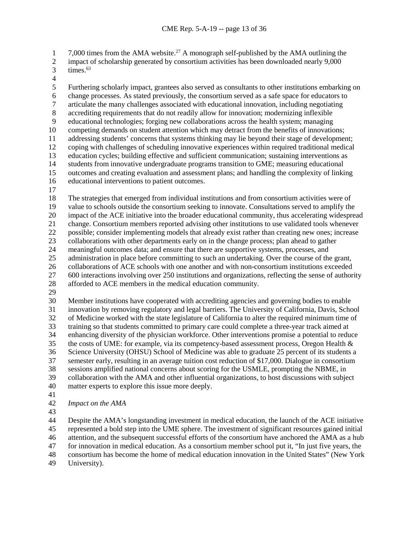7,000 times from the AMA website.<sup>27</sup> A monograph self-published by the AMA outlining the<br>2 impact of scholarship generated by consortium activities has been downloaded nearly 9,000

- impact of scholarship generated by consortium activities has been downloaded nearly 9,000  $3 \times times.^{63}$
- 

4<br>5 Furthering scholarly impact, grantees also served as consultants to other institutions embarking on 6 change processes. As stated previously, the consortium served as a safe space for educators to articulate the many challenges associated with educational innovation, including negotiating articulate the many challenges associated with educational innovation, including negotiating 8 accrediting requirements that do not readily allow for innovation; modernizing inflexible<br>9 educational technologies: forging new collaborations across the health system: managing educational technologies; forging new collaborations across the health system; managing competing demands on student attention which may detract from the benefits of innovations; addressing students' concerns that systems thinking may lie beyond their stage of development; coping with challenges of scheduling innovative experiences within required traditional medical education cycles; building effective and sufficient communication; sustaining interventions as students from innovative undergraduate programs transition to GME; measuring educational outcomes and creating evaluation and assessment plans; and handling the complexity of linking educational interventions to patient outcomes. The strategies that emerged from individual institutions and from consortium activities were of value to schools outside the consortium seeking to innovate. Consultations served to amplify the

 impact of the ACE initiative into the broader educational community, thus accelerating widespread change. Consortium members reported advising other institutions to use validated tools whenever possible; consider implementing models that already exist rather than creating new ones; increase 23 collaborations with other departments early on in the change process; plan ahead to gather<br>24 meaningful outcomes data; and ensure that there are supportive systems, processes, and meaningful outcomes data; and ensure that there are supportive systems, processes, and administration in place before committing to such an undertaking. Over the course of the grant, collaborations of ACE schools with one another and with non-consortium institutions exceeded

600 interactions involving over 250 institutions and organizations, reflecting the sense of authority

- afforded to ACE members in the medical education community.
- 

 Member institutions have cooperated with accrediting agencies and governing bodies to enable innovation by removing regulatory and legal barriers. The University of California, Davis, School of Medicine worked with the state legislature of California to alter the required minimum time of training so that students committed to primary care could complete a three-year track aimed at enhancing diversity of the physician workforce. Other interventions promise a potential to reduce 35 the costs of UME: for example, via its competency-based assessment process, Oregon Health  $\&$  Science University (OHSU) School of Medicine was able to graduate 25 percent of its students a semester early, resulting in an average tuition cost reduction of \$17,000. Dialogue in consortium sessions amplified national concerns about scoring for the USMLE, prompting the NBME, in collaboration with the AMA and other influential organizations, to host discussions with subject matter experts to explore this issue more deeply.

## *Impact on the AMA*

 Despite the AMA's longstanding investment in medical education, the launch of the ACE initiative represented a bold step into the UME sphere. The investment of significant resources gained initial attention, and the subsequent successful efforts of the consortium have anchored the AMA as a hub for innovation in medical education. As a consortium member school put it, "In just five years, the consortium has become the home of medical education innovation in the United States" (New York

University).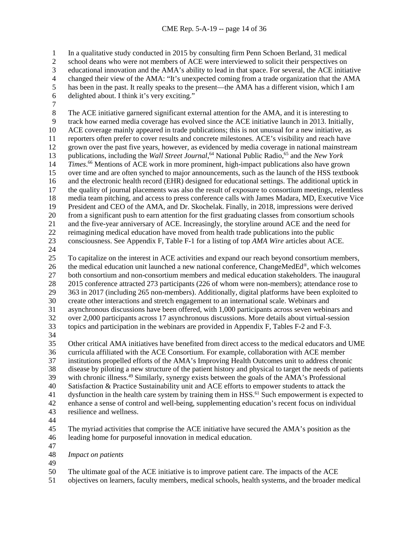1 In a qualitative study conducted in 2015 by consulting firm Penn Schoen Berland, 31 medical<br>2 school deans who were not members of ACE were interviewed to solicit their perspectives on

school deans who were not members of ACE were interviewed to solicit their perspectives on

3 educational innovation and the AMA's ability to lead in that space. For several, the ACE initiative changed their view of the AMA: "It's unexpected coming from a trade organization that the AMA

- 4 changed their view of the AMA: "It's unexpected coming from a trade organization that the AMA<br>5 has been in the past. It really speaks to the present—the AMA has a different vision, which I am
- has been in the past. It really speaks to the present—the AMA has a different vision, which I am
- delighted about. I think it's very exciting."
- 

8 The ACE initiative garnered significant external attention for the AMA, and it is interesting to<br>9 track how earned media coverage has evolved since the ACE initiative launch in 2013. Initially track how earned media coverage has evolved since the ACE initiative launch in 2013. Initially, ACE coverage mainly appeared in trade publications; this is not unusual for a new initiative, as reporters often prefer to cover results and concrete milestones. ACE's visibility and reach have grown over the past five years, however, as evidenced by media coverage in national mainstream 13 publications, including the *Wall Street Journal*,<sup>64</sup> National Public Radio,<sup>65</sup> and the *New York Times*.<sup>66</sup> Mentions of ACE work in more prominent, high-impact publications also have grown over time and are often synched to major announcements, such as the launch of the HSS textbook and the electronic health record (EHR) designed for educational settings. The additional uptick in the quality of journal placements was also the result of exposure to consortium meetings, relentless media team pitching, and access to press conference calls with James Madara, MD, Executive Vice President and CEO of the AMA, and Dr. Skochelak. Finally, in 2018, impressions were derived from a significant push to earn attention for the first graduating classes from consortium schools and the five-year anniversary of ACE. Increasingly, the storyline around ACE and the need for reimagining medical education have moved from health trade publications into the public consciousness. See Appendix F, Table F-1 for a listing of top *AMA Wire* articles about ACE.

 To capitalize on the interest in ACE activities and expand our reach beyond consortium members, 26 the medical education unit launched a new national conference, ChangeMedEd<sup>®</sup>, which welcomes both consortium and non-consortium members and medical education stakeholders. The inaugural 28 2015 conference attracted 273 participants (226 of whom were non-members); attendance rose to 363 in 2017 (including 265 non-members). Additionally, digital platforms have been exploited to create other interactions and stretch engagement to an international scale. Webinars and asynchronous discussions have been offered, with 1,000 participants across seven webinars and over 2,000 participants across 17 asynchronous discussions. More details about virtual-session topics and participation in the webinars are provided in Appendix F, Tables F-2 and F-3. Other critical AMA initiatives have benefited from direct access to the medical educators and UME curricula affiliated with the ACE Consortium. For example, collaboration with ACE member

 institutions propelled efforts of the AMA's Improving Health Outcomes unit to address chronic disease by piloting a new structure of the patient history and physical to target the needs of patients 39 with chronic illness.<sup>49</sup> Similarly, synergy exists between the goals of the AMA's Professional

Satisfaction & Practice Sustainability unit and ACE efforts to empower students to attack the

41 dysfunction in the health care system by training them in  $HSS<sup>61</sup>$  Such empowerment is expected to

 enhance a sense of control and well-being, supplementing education's recent focus on individual resilience and wellness.

 The myriad activities that comprise the ACE initiative have secured the AMA's position as the leading home for purposeful innovation in medical education.

*Impact on patients*

The ultimate goal of the ACE initiative is to improve patient care. The impacts of the ACE

objectives on learners, faculty members, medical schools, health systems, and the broader medical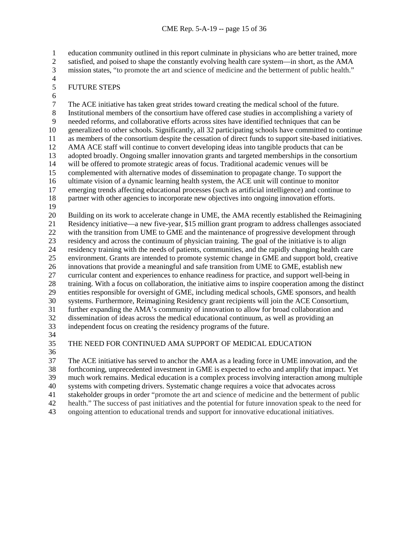1 education community outlined in this report culminate in physicians who are better trained, more<br>2 satisfied, and poised to shape the constantly evolving health care system—in short, as the AMA satisfied, and poised to shape the constantly evolving health care system—in short, as the AMA mission states, "to promote the art and science of medicine and the betterment of public health."

 $\frac{4}{5}$ 

## FUTURE STEPS

6<br>7 The ACE initiative has taken great strides toward creating the medical school of the future. 8 Institutional members of the consortium have offered case studies in accomplishing a variety of needed reforms, and collaborative efforts across sites have identified techniques that can be needed reforms, and collaborative efforts across sites have identified techniques that can be generalized to other schools. Significantly, all 32 participating schools have committed to continue as members of the consortium despite the cessation of direct funds to support site-based initiatives. AMA ACE staff will continue to convert developing ideas into tangible products that can be adopted broadly. Ongoing smaller innovation grants and targeted memberships in the consortium will be offered to promote strategic areas of focus. Traditional academic venues will be complemented with alternative modes of dissemination to propagate change. To support the ultimate vision of a dynamic learning health system, the ACE unit will continue to monitor emerging trends affecting educational processes (such as artificial intelligence) and continue to partner with other agencies to incorporate new objectives into ongoing innovation efforts. Building on its work to accelerate change in UME, the AMA recently established the Reimagining Residency initiative—a new five-year, \$15 million grant program to address challenges associated

 with the transition from UME to GME and the maintenance of progressive development through residency and across the continuum of physician training. The goal of the initiative is to align residency training with the needs of patients, communities, and the rapidly changing health care environment. Grants are intended to promote systemic change in GME and support bold, creative innovations that provide a meaningful and safe transition from UME to GME, establish new curricular content and experiences to enhance readiness for practice, and support well-being in training. With a focus on collaboration, the initiative aims to inspire cooperation among the distinct entities responsible for oversight of GME, including medical schools, GME sponsors, and health systems. Furthermore, Reimagining Residency grant recipients will join the ACE Consortium, further expanding the AMA's community of innovation to allow for broad collaboration and dissemination of ideas across the medical educational continuum, as well as providing an independent focus on creating the residency programs of the future.

- 
- 

THE NEED FOR CONTINUED AMA SUPPORT OF MEDICAL EDUCATION

 The ACE initiative has served to anchor the AMA as a leading force in UME innovation, and the forthcoming, unprecedented investment in GME is expected to echo and amplify that impact. Yet

much work remains. Medical education is a complex process involving interaction among multiple

systems with competing drivers. Systematic change requires a voice that advocates across

stakeholder groups in order "promote the art and science of medicine and the betterment of public

health." The success of past initiatives and the potential for future innovation speak to the need for

ongoing attention to educational trends and support for innovative educational initiatives.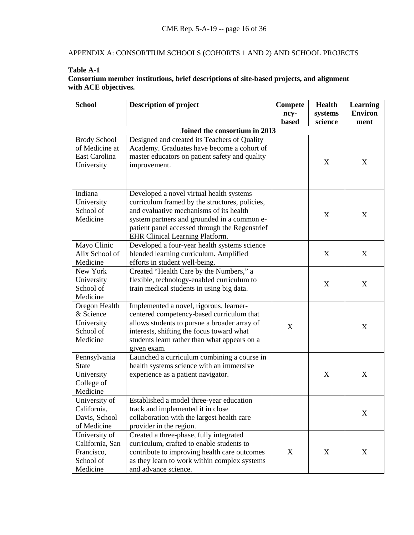# APPENDIX A: CONSORTIUM SCHOOLS (COHORTS 1 AND 2) AND SCHOOL PROJECTS

## **Table A-1**

## **Consortium member institutions, brief descriptions of site-based projects, and alignment with ACE objectives.**

| <b>School</b>                | <b>Description of project</b>                                                 | <b>Compete</b> | <b>Health</b> | <b>Learning</b> |
|------------------------------|-------------------------------------------------------------------------------|----------------|---------------|-----------------|
|                              |                                                                               | ncy-           | systems       | <b>Environ</b>  |
|                              |                                                                               | based          | science       | ment            |
|                              | Joined the consortium in 2013                                                 |                |               |                 |
| <b>Brody School</b>          | Designed and created its Teachers of Quality                                  |                |               |                 |
| of Medicine at               | Academy. Graduates have become a cohort of                                    |                |               |                 |
| East Carolina                | master educators on patient safety and quality                                |                |               |                 |
| University                   | improvement.                                                                  |                | X             | X               |
|                              |                                                                               |                |               |                 |
|                              |                                                                               |                |               |                 |
| Indiana                      | Developed a novel virtual health systems                                      |                |               |                 |
| University                   | curriculum framed by the structures, policies,                                |                |               |                 |
| School of                    | and evaluative mechanisms of its health                                       |                |               |                 |
| Medicine                     | system partners and grounded in a common e-                                   |                | X             | X               |
|                              | patient panel accessed through the Regenstrief                                |                |               |                 |
|                              | EHR Clinical Learning Platform.                                               |                |               |                 |
| Mayo Clinic                  | Developed a four-year health systems science                                  |                |               |                 |
| Alix School of               | blended learning curriculum. Amplified                                        |                | X             | X               |
| Medicine                     | efforts in student well-being.                                                |                |               |                 |
| New York                     | Created "Health Care by the Numbers," a                                       |                |               |                 |
| University                   | flexible, technology-enabled curriculum to                                    |                | X             | X               |
| School of                    | train medical students in using big data.                                     |                |               |                 |
| Medicine                     |                                                                               |                |               |                 |
| Oregon Health                | Implemented a novel, rigorous, learner-                                       |                |               |                 |
| & Science                    | centered competency-based curriculum that                                     |                |               |                 |
| University                   | allows students to pursue a broader array of                                  | X              |               | X               |
| School of                    | interests, shifting the focus toward what                                     |                |               |                 |
| Medicine                     | students learn rather than what appears on a                                  |                |               |                 |
|                              | given exam.                                                                   |                |               |                 |
| Pennsylvania                 | Launched a curriculum combining a course in                                   |                |               |                 |
| <b>State</b>                 | health systems science with an immersive                                      |                |               |                 |
| University                   | experience as a patient navigator.                                            |                | X             | X               |
| College of                   |                                                                               |                |               |                 |
| Medicine<br>University of    |                                                                               |                |               |                 |
|                              | Established a model three-year education<br>track and implemented it in close |                |               |                 |
| California,<br>Davis, School | collaboration with the largest health care                                    |                |               | X               |
| of Medicine                  | provider in the region.                                                       |                |               |                 |
| University of                | Created a three-phase, fully integrated                                       |                |               |                 |
| California, San              | curriculum, crafted to enable students to                                     |                |               |                 |
| Francisco,                   | contribute to improving health care outcomes                                  | X              | X             | X               |
|                              |                                                                               |                |               |                 |
|                              |                                                                               |                |               |                 |
| School of<br>Medicine        | as they learn to work within complex systems<br>and advance science.          |                |               |                 |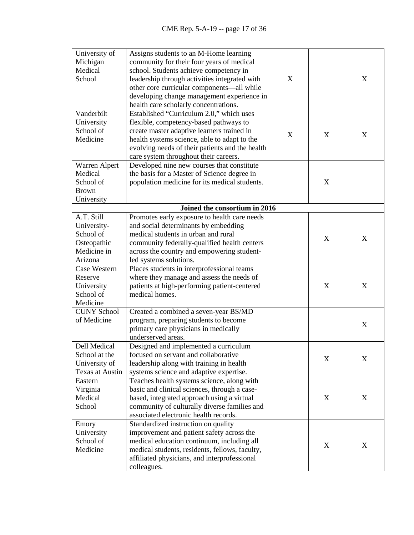| University of       | Assigns students to an M-Home learning          |   |                           |                  |
|---------------------|-------------------------------------------------|---|---------------------------|------------------|
| Michigan            | community for their four years of medical       |   |                           |                  |
| Medical             | school. Students achieve competency in          |   |                           |                  |
| School              | leadership through activities integrated with   | X |                           | X                |
|                     | other core curricular components-all while      |   |                           |                  |
|                     | developing change management experience in      |   |                           |                  |
|                     | health care scholarly concentrations.           |   |                           |                  |
| Vanderbilt          | Established "Curriculum 2.0," which uses        |   |                           |                  |
| University          | flexible, competency-based pathways to          |   |                           |                  |
| School of           | create master adaptive learners trained in      | X | X                         | X                |
| Medicine            | health systems science, able to adapt to the    |   |                           |                  |
|                     | evolving needs of their patients and the health |   |                           |                  |
|                     | care system throughout their careers.           |   |                           |                  |
| Warren Alpert       | Developed nine new courses that constitute      |   |                           |                  |
| Medical             | the basis for a Master of Science degree in     |   |                           |                  |
| School of           | population medicine for its medical students.   |   | $\mathbf X$               |                  |
| <b>Brown</b>        |                                                 |   |                           |                  |
| University          |                                                 |   |                           |                  |
|                     | Joined the consortium in 2016                   |   |                           |                  |
| A.T. Still          | Promotes early exposure to health care needs    |   |                           |                  |
| University-         | and social determinants by embedding            |   |                           |                  |
| School of           | medical students in urban and rural             |   | X                         | X                |
| Osteopathic         | community federally-qualified health centers    |   |                           |                  |
| Medicine in         | across the country and empowering student-      |   |                           |                  |
| Arizona             | led systems solutions.                          |   |                           |                  |
| <b>Case Western</b> | Places students in interprofessional teams      |   |                           |                  |
| Reserve             | where they manage and assess the needs of       |   |                           |                  |
| University          | patients at high-performing patient-centered    |   | X                         | X                |
| School of           | medical homes.                                  |   |                           |                  |
| Medicine            |                                                 |   |                           |                  |
| <b>CUNY School</b>  | Created a combined a seven-year BS/MD           |   |                           |                  |
| of Medicine         | program, preparing students to become           |   |                           |                  |
|                     | primary care physicians in medically            |   |                           | X                |
|                     | underserved areas.                              |   |                           |                  |
| Dell Medical        | Designed and implemented a curriculum           |   |                           |                  |
| School at the       | focused on servant and collaborative            |   |                           |                  |
| University of       | leadership along with training in health        |   | $\boldsymbol{\mathrm{X}}$ | $\boldsymbol{X}$ |
| Texas at Austin     | systems science and adaptive expertise.         |   |                           |                  |
| Eastern             | Teaches health systems science, along with      |   |                           |                  |
| Virginia            | basic and clinical sciences, through a case-    |   |                           |                  |
| Medical             | based, integrated approach using a virtual      |   | X                         | X                |
| School              | community of culturally diverse families and    |   |                           |                  |
|                     | associated electronic health records.           |   |                           |                  |
| Emory               | Standardized instruction on quality             |   |                           |                  |
| University          | improvement and patient safety across the       |   |                           |                  |
| School of           | medical education continuum, including all      |   |                           |                  |
| Medicine            | medical students, residents, fellows, faculty,  |   | X                         | X                |
|                     | affiliated physicians, and interprofessional    |   |                           |                  |
|                     | colleagues.                                     |   |                           |                  |
|                     |                                                 |   |                           |                  |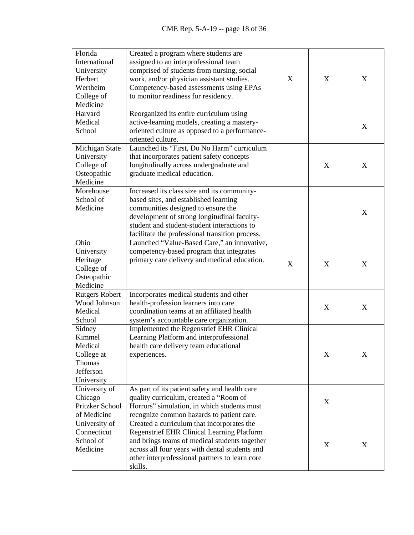| Florida               | Created a program where students are              |   |   |   |
|-----------------------|---------------------------------------------------|---|---|---|
| International         | assigned to an interprofessional team             |   |   |   |
| University            | comprised of students from nursing, social        |   |   |   |
| Herbert               | work, and/or physician assistant studies.         | X | X | X |
| Wertheim              | Competency-based assessments using EPAs           |   |   |   |
| College of            | to monitor readiness for residency.               |   |   |   |
| Medicine              |                                                   |   |   |   |
| Harvard               | Reorganized its entire curriculum using           |   |   |   |
| Medical               | active-learning models, creating a mastery-       |   |   |   |
| School                | oriented culture as opposed to a performance-     |   |   | X |
|                       | oriented culture.                                 |   |   |   |
| Michigan State        | Launched its "First, Do No Harm" curriculum       |   |   |   |
| University            | that incorporates patient safety concepts         |   |   |   |
| College of            | longitudinally across undergraduate and           |   | X | X |
| Osteopathic           | graduate medical education.                       |   |   |   |
| Medicine              |                                                   |   |   |   |
| Morehouse             | Increased its class size and its community-       |   |   |   |
| School of             | based sites, and established learning             |   |   |   |
| Medicine              | communities designed to ensure the                |   |   |   |
|                       | development of strong longitudinal faculty-       |   |   | X |
|                       | student and student-student interactions to       |   |   |   |
|                       | facilitate the professional transition process.   |   |   |   |
| Ohio                  | Launched "Value-Based Care," an innovative,       |   |   |   |
| University            | competency-based program that integrates          |   |   |   |
| Heritage              | primary care delivery and medical education.      |   |   |   |
| College of            |                                                   | X | X | X |
| Osteopathic           |                                                   |   |   |   |
| Medicine              |                                                   |   |   |   |
| <b>Rutgers Robert</b> | Incorporates medical students and other           |   |   |   |
| Wood Johnson          | health-profession learners into care              |   |   |   |
| Medical               | coordination teams at an affiliated health        |   | X | X |
| School                | system's accountable care organization.           |   |   |   |
| Sidney                | Implemented the Regenstrief EHR Clinical          |   |   |   |
| Kimmel                | Learning Platform and interprofessional           |   |   |   |
| Medical               | health care delivery team educational             |   |   |   |
| College at            | experiences.                                      |   | X | X |
| Thomas                |                                                   |   |   |   |
| Jefferson             |                                                   |   |   |   |
| University            |                                                   |   |   |   |
| University of         | As part of its patient safety and health care     |   |   |   |
| Chicago               | quality curriculum, created a "Room of            |   |   |   |
| Pritzker School       | Horrors" simulation, in which students must       |   | X |   |
| of Medicine           | recognize common hazards to patient care.         |   |   |   |
| University of         | Created a curriculum that incorporates the        |   |   |   |
| Connecticut           | <b>Regenstrief EHR Clinical Learning Platform</b> |   |   |   |
| School of             | and brings teams of medical students together     |   |   |   |
| Medicine              | across all four years with dental students and    |   | X | X |
|                       | other interprofessional partners to learn core    |   |   |   |
|                       | skills.                                           |   |   |   |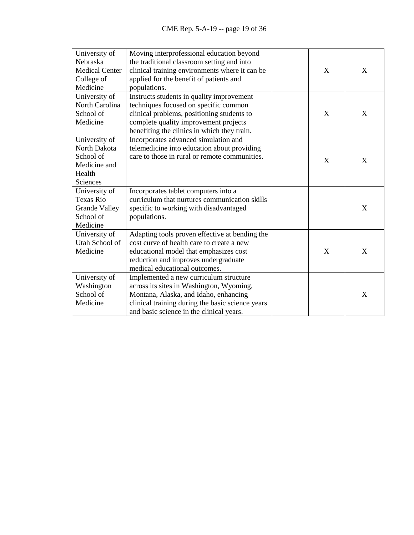| University of         | Moving interprofessional education beyond        |              |   |
|-----------------------|--------------------------------------------------|--------------|---|
| Nebraska              | the traditional classroom setting and into       |              |   |
| <b>Medical Center</b> | clinical training environments where it can be   | X            | X |
| College of            | applied for the benefit of patients and          |              |   |
| Medicine              | populations.                                     |              |   |
| University of         | Instructs students in quality improvement        |              |   |
| North Carolina        | techniques focused on specific common            |              |   |
| School of             | clinical problems, positioning students to       | X            | X |
| Medicine              | complete quality improvement projects            |              |   |
|                       | benefiting the clinics in which they train.      |              |   |
| University of         | Incorporates advanced simulation and             |              |   |
| North Dakota          | telemedicine into education about providing      |              |   |
| School of             | care to those in rural or remote communities.    | X            | X |
| Medicine and          |                                                  |              |   |
| Health                |                                                  |              |   |
| Sciences              |                                                  |              |   |
| University of         | Incorporates tablet computers into a             |              |   |
| <b>Texas Rio</b>      | curriculum that nurtures communication skills    |              |   |
| <b>Grande Valley</b>  | specific to working with disadvantaged           |              | X |
| School of             | populations.                                     |              |   |
| Medicine              |                                                  |              |   |
| University of         | Adapting tools proven effective at bending the   |              |   |
| Utah School of        | cost curve of health care to create a new        |              |   |
| Medicine              | educational model that emphasizes cost           | $\mathbf{X}$ | X |
|                       | reduction and improves undergraduate             |              |   |
|                       | medical educational outcomes.                    |              |   |
| University of         | Implemented a new curriculum structure           |              |   |
| Washington            | across its sites in Washington, Wyoming,         |              |   |
| School of             | Montana, Alaska, and Idaho, enhancing            |              | X |
| Medicine              | clinical training during the basic science years |              |   |
|                       | and basic science in the clinical years.         |              |   |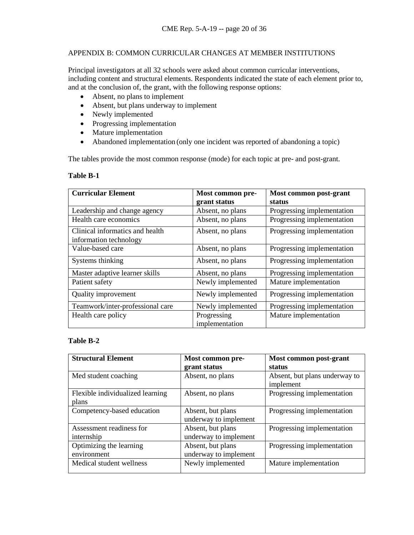## APPENDIX B: COMMON CURRICULAR CHANGES AT MEMBER INSTITUTIONS

Principal investigators at all 32 schools were asked about common curricular interventions, including content and structural elements. Respondents indicated the state of each element prior to, and at the conclusion of, the grant, with the following response options:

- Absent, no plans to implement
- Absent, but plans underway to implement
- Newly implemented
- Progressing implementation
- Mature implementation
- Abandoned implementation (only one incident was reported of abandoning a topic)

The tables provide the most common response (mode) for each topic at pre- and post-grant.

## **Table B-1**

| <b>Curricular Element</b>        | Most common pre-  | Most common post-grant     |
|----------------------------------|-------------------|----------------------------|
|                                  | grant status      | status                     |
| Leadership and change agency     | Absent, no plans  | Progressing implementation |
| Health care economics            | Absent, no plans  | Progressing implementation |
| Clinical informatics and health  | Absent, no plans  | Progressing implementation |
| information technology           |                   |                            |
| Value-based care                 | Absent, no plans  | Progressing implementation |
| Systems thinking                 | Absent, no plans  | Progressing implementation |
| Master adaptive learner skills   | Absent, no plans  | Progressing implementation |
| Patient safety                   | Newly implemented | Mature implementation      |
| Quality improvement              | Newly implemented | Progressing implementation |
| Teamwork/inter-professional care | Newly implemented | Progressing implementation |
| Health care policy               | Progressing       | Mature implementation      |
|                                  | implementation    |                            |

## **Table B-2**

| <b>Structural Element</b>                 | Most common pre-<br>grant status           | Most common post-grant<br>status           |
|-------------------------------------------|--------------------------------------------|--------------------------------------------|
| Med student coaching                      | Absent, no plans                           | Absent, but plans underway to<br>implement |
| Flexible individualized learning<br>plans | Absent, no plans                           | Progressing implementation                 |
| Competency-based education                | Absent, but plans<br>underway to implement | Progressing implementation                 |
| Assessment readiness for<br>internship    | Absent, but plans<br>underway to implement | Progressing implementation                 |
| Optimizing the learning<br>environment    | Absent, but plans<br>underway to implement | Progressing implementation                 |
| Medical student wellness                  | Newly implemented                          | Mature implementation                      |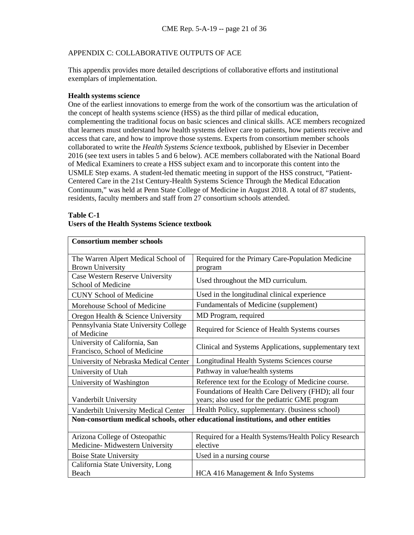## APPENDIX C: COLLABORATIVE OUTPUTS OF ACE

This appendix provides more detailed descriptions of collaborative efforts and institutional exemplars of implementation.

## **Health systems science**

One of the earliest innovations to emerge from the work of the consortium was the articulation of the concept of health systems science (HSS) as the third pillar of medical education, complementing the traditional focus on basic sciences and clinical skills. ACE members recognized that learners must understand how health systems deliver care to patients, how patients receive and access that care, and how to improve those systems. Experts from consortium member schools collaborated to write the *Health Systems Science* textbook, published by Elsevier in December 2016 (see text users in tables 5 and 6 below). ACE members collaborated with the National Board of Medical Examiners to create a HSS subject exam and to incorporate this content into the USMLE Step exams. A student-led thematic meeting in support of the HSS construct, "Patient-Centered Care in the 21st Century-Health Systems Science Through the Medical Education Continuum," was held at Penn State College of Medicine in August 2018. A total of 87 students, residents, faculty members and staff from 27 consortium schools attended.

#### **Table C-1 Users of the Health Systems Science textbook**

| <b>Consortium member schools</b>                                 |                                                                                                       |
|------------------------------------------------------------------|-------------------------------------------------------------------------------------------------------|
| The Warren Alpert Medical School of<br><b>Brown University</b>   | Required for the Primary Care-Population Medicine<br>program                                          |
| Case Western Reserve University<br>School of Medicine            | Used throughout the MD curriculum.                                                                    |
| <b>CUNY School of Medicine</b>                                   | Used in the longitudinal clinical experience                                                          |
| Morehouse School of Medicine                                     | Fundamentals of Medicine (supplement)                                                                 |
| Oregon Health & Science University                               | MD Program, required                                                                                  |
| Pennsylvania State University College<br>of Medicine             | Required for Science of Health Systems courses                                                        |
| University of California, San<br>Francisco, School of Medicine   | Clinical and Systems Applications, supplementary text                                                 |
| University of Nebraska Medical Center                            | Longitudinal Health Systems Sciences course                                                           |
| University of Utah                                               | Pathway in value/health systems                                                                       |
| University of Washington                                         | Reference text for the Ecology of Medicine course.                                                    |
| Vanderbilt University                                            | Foundations of Health Care Delivery (FHD); all four<br>years; also used for the pediatric GME program |
| Vanderbilt University Medical Center                             | Health Policy, supplementary. (business school)                                                       |
|                                                                  | Non-consortium medical schools, other educational institutions, and other entities                    |
| Arizona College of Osteopathic<br>Medicine-Midwestern University | Required for a Health Systems/Health Policy Research<br>elective                                      |
| <b>Boise State University</b>                                    | Used in a nursing course                                                                              |
| California State University, Long                                |                                                                                                       |
| Beach                                                            | HCA 416 Management & Info Systems                                                                     |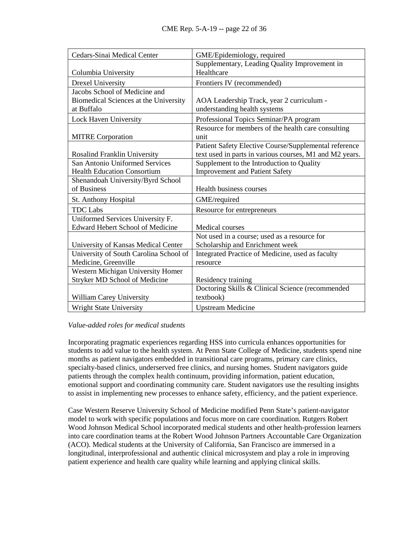| Cedars-Sinai Medical Center             | GME/Epidemiology, required                              |
|-----------------------------------------|---------------------------------------------------------|
|                                         | Supplementary, Leading Quality Improvement in           |
| Columbia University                     | Healthcare                                              |
| Drexel University                       | Frontiers IV (recommended)                              |
| Jacobs School of Medicine and           |                                                         |
| Biomedical Sciences at the University   | AOA Leadership Track, year 2 curriculum -               |
| at Buffalo                              | understanding health systems                            |
| Lock Haven University                   | Professional Topics Seminar/PA program                  |
|                                         | Resource for members of the health care consulting      |
| <b>MITRE</b> Corporation                | unit                                                    |
|                                         | Patient Safety Elective Course/Supplemental reference   |
| Rosalind Franklin University            | text used in parts in various courses, M1 and M2 years. |
| San Antonio Uniformed Services          | Supplement to the Introduction to Quality               |
| <b>Health Education Consortium</b>      | <b>Improvement and Patient Safety</b>                   |
| Shenandoah University/Byrd School       |                                                         |
| of Business                             | Health business courses                                 |
| St. Anthony Hospital                    | GME/required                                            |
| <b>TDC</b> Labs                         | Resource for entrepreneurs                              |
| Uniformed Services University F.        |                                                         |
| <b>Edward Hebert School of Medicine</b> | <b>Medical courses</b>                                  |
|                                         | Not used in a course; used as a resource for            |
| University of Kansas Medical Center     | Scholarship and Enrichment week                         |
| University of South Carolina School of  | Integrated Practice of Medicine, used as faculty        |
| Medicine, Greenville                    | resource                                                |
| Western Michigan University Homer       |                                                         |
| Stryker MD School of Medicine           | Residency training                                      |
|                                         | Doctoring Skills & Clinical Science (recommended        |
| <b>William Carey University</b>         | textbook)                                               |
| <b>Wright State University</b>          | <b>Upstream Medicine</b>                                |

## *Value-added roles for medical students*

Incorporating pragmatic experiences regarding HSS into curricula enhances opportunities for students to add value to the health system. At Penn State College of Medicine, students spend nine months as patient navigators embedded in transitional care programs, primary care clinics, specialty-based clinics, underserved free clinics, and nursing homes. Student navigators guide patients through the complex health continuum, providing information, patient education, emotional support and coordinating community care. Student navigators use the resulting insights to assist in implementing new processes to enhance safety, efficiency, and the patient experience.

Case Western Reserve University School of Medicine modified Penn State's patient-navigator model to work with specific populations and focus more on care coordination. Rutgers Robert Wood Johnson Medical School incorporated medical students and other health-profession learners into care coordination teams at the Robert Wood Johnson Partners Accountable Care Organization (ACO). Medical students at the University of California, San Francisco are immersed in a longitudinal, interprofessional and authentic clinical microsystem and play a role in improving patient experience and health care quality while learning and applying clinical skills.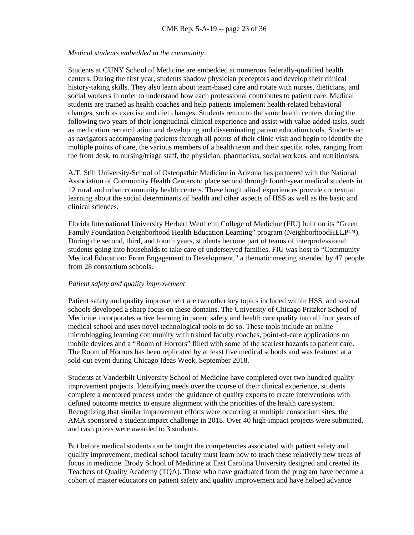#### *Medical students embedded in the community*

Students at CUNY School of Medicine are embedded at numerous federally-qualified health centers. During the first year, students shadow physician preceptors and develop their clinical history-taking skills. They also learn about team-based care and rotate with nurses, dieticians, and social workers in order to understand how each professional contributes to patient care. Medical students are trained as health coaches and help patients implement health-related behavioral changes, such as exercise and diet changes. Students return to the same health centers during the following two years of their longitudinal clinical experience and assist with value-added tasks, such as medication reconciliation and developing and disseminating patient education tools. Students act as navigators accompanying patients through all points of their clinic visit and begin to identify the multiple points of care, the various members of a health team and their specific roles, ranging from the front desk, to nursing/triage staff, the physician, pharmacists, social workers, and nutritionists.

A.T. Still University-School of Osteopathic Medicine in Arizona has partnered with the National Association of Community Health Centers to place second through fourth-year medical students in 12 rural and urban community health centers. These longitudinal experiences provide contextual learning about the social determinants of health and other aspects of HSS as well as the basic and clinical sciences.

Florida International University Herbert Wertheim College of Medicine (FIU) built on its "Green Family Foundation Neighborhood Health Education Learning" program (NeighborhoodHELP™). During the second, third, and fourth years, students become part of teams of interprofessional students going into households to take care of underserved families. FIU was host to "Community Medical Education: From Engagement to Development," a thematic meeting attended by 47 people from 28 consortium schools.

#### *Patient safety and quality improvement*

Patient safety and quality improvement are two other key topics included within HSS, and several schools developed a sharp focus on these domains. The University of Chicago Pritzker School of Medicine incorporates active learning in patent safety and health care quality into all four years of medical school and uses novel technological tools to do so. These tools include an online microblogging learning community with trained faculty coaches, point-of-care applications on mobile devices and a "Room of Horrors" filled with some of the scariest hazards to patient care. The Room of Horrors has been replicated by at least five medical schools and was featured at a sold-out event during Chicago Ideas Week, September 2018.

Students at Vanderbilt University School of Medicine have completed over two hundred quality improvement projects. Identifying needs over the course of their clinical experience, students complete a mentored process under the guidance of quality experts to create interventions with defined outcome metrics to ensure alignment with the priorities of the health care system. Recognizing that similar improvement efforts were occurring at multiple consortium sites, the AMA sponsored a student impact challenge in 2018. Over 40 high-impact projects were submitted, and cash prizes were awarded to 3 students.

But before medical students can be taught the competencies associated with patient safety and quality improvement, medical school faculty must learn how to teach these relatively new areas of focus in medicine. Brody School of Medicine at East Carolina University designed and created its Teachers of Quality Academy (TQA). Those who have graduated from the program have become a cohort of master educators on patient safety and quality improvement and have helped advance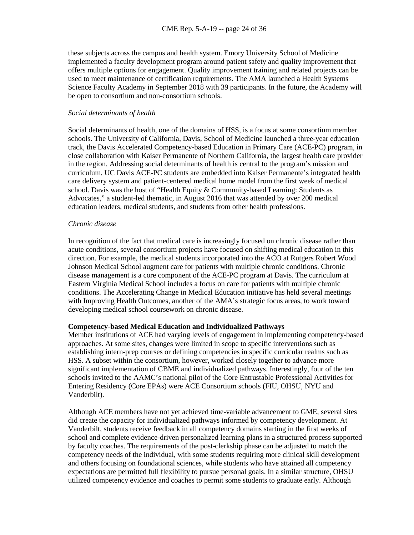these subjects across the campus and health system. Emory University School of Medicine implemented a faculty development program around patient safety and quality improvement that offers multiple options for engagement. Quality improvement training and related projects can be used to meet maintenance of certification requirements. The AMA launched a Health Systems Science Faculty Academy in September 2018 with 39 participants. In the future, the Academy will be open to consortium and non-consortium schools.

#### *Social determinants of health*

Social determinants of health, one of the domains of HSS, is a focus at some consortium member schools. The University of California, Davis, School of Medicine launched a three-year education track, the Davis Accelerated Competency-based Education in Primary Care (ACE-PC) program, in close collaboration with Kaiser Permanente of Northern California, the largest health care provider in the region. Addressing social determinants of health is central to the program's mission and curriculum. UC Davis ACE-PC students are embedded into Kaiser Permanente's integrated health care delivery system and patient-centered medical home model from the first week of medical school. Davis was the host of "Health Equity & Community-based Learning: Students as Advocates," a student-led thematic, in August 2016 that was attended by over 200 medical education leaders, medical students, and students from other health professions.

#### *Chronic disease*

In recognition of the fact that medical care is increasingly focused on chronic disease rather than acute conditions, several consortium projects have focused on shifting medical education in this direction. For example, the medical students incorporated into the ACO at Rutgers Robert Wood Johnson Medical School augment care for patients with multiple chronic conditions. Chronic disease management is a core component of the ACE-PC program at Davis. The curriculum at Eastern Virginia Medical School includes a focus on care for patients with multiple chronic conditions. The Accelerating Change in Medical Education initiative has held several meetings with Improving Health Outcomes, another of the AMA's strategic focus areas, to work toward developing medical school coursework on chronic disease.

#### **Competency-based Medical Education and Individualized Pathways**

Member institutions of ACE had varying levels of engagement in implementing competency-based approaches. At some sites, changes were limited in scope to specific interventions such as establishing intern-prep courses or defining competencies in specific curricular realms such as HSS. A subset within the consortium, however, worked closely together to advance more significant implementation of CBME and individualized pathways. Interestingly, four of the ten schools invited to the AAMC's national pilot of the Core Entrustable Professional Activities for Entering Residency (Core EPAs) were ACE Consortium schools (FIU, OHSU, NYU and Vanderbilt).

Although ACE members have not yet achieved time-variable advancement to GME, several sites did create the capacity for individualized pathways informed by competency development. At Vanderbilt, students receive feedback in all competency domains starting in the first weeks of school and complete evidence-driven personalized learning plans in a structured process supported by faculty coaches. The requirements of the post-clerkship phase can be adjusted to match the competency needs of the individual, with some students requiring more clinical skill development and others focusing on foundational sciences, while students who have attained all competency expectations are permitted full flexibility to pursue personal goals. In a similar structure, OHSU utilized competency evidence and coaches to permit some students to graduate early. Although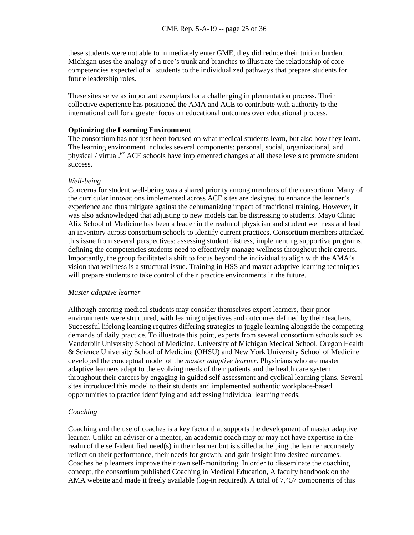these students were not able to immediately enter GME, they did reduce their tuition burden. Michigan uses the analogy of a tree's trunk and branches to illustrate the relationship of core competencies expected of all students to the individualized pathways that prepare students for future leadership roles.

These sites serve as important exemplars for a challenging implementation process. Their collective experience has positioned the AMA and ACE to contribute with authority to the international call for a greater focus on educational outcomes over educational process.

### **Optimizing the Learning Environment**

The consortium has not just been focused on what medical students learn, but also how they learn. The learning environment includes several components: personal, social, organizational, and physical / virtual.<sup>67</sup> ACE schools have implemented changes at all these levels to promote student success.

#### *Well-being*

Concerns for student well-being was a shared priority among members of the consortium. Many of the curricular innovations implemented across ACE sites are designed to enhance the learner's experience and thus mitigate against the dehumanizing impact of traditional training. However, it was also acknowledged that adjusting to new models can be distressing to students. Mayo Clinic Alix School of Medicine has been a leader in the realm of physician and student wellness and lead an inventory across consortium schools to identify current practices. Consortium members attacked this issue from several perspectives: assessing student distress, implementing supportive programs, defining the competencies students need to effectively manage wellness throughout their careers. Importantly, the group facilitated a shift to focus beyond the individual to align with the AMA's vision that wellness is a structural issue. Training in HSS and master adaptive learning techniques will prepare students to take control of their practice environments in the future.

#### *Master adaptive learner*

Although entering medical students may consider themselves expert learners, their prior environments were structured, with learning objectives and outcomes defined by their teachers. Successful lifelong learning requires differing strategies to juggle learning alongside the competing demands of daily practice. To illustrate this point, experts from several consortium schools such as Vanderbilt University School of Medicine, University of Michigan Medical School, Oregon Health & Science University School of Medicine (OHSU) and New York University School of Medicine developed the conceptual model of the *master adaptive learner*. Physicians who are master adaptive learners adapt to the evolving needs of their patients and the health care system throughout their careers by engaging in guided self-assessment and cyclical learning plans. Several sites introduced this model to their students and implemented authentic workplace-based opportunities to practice identifying and addressing individual learning needs.

#### *Coaching*

Coaching and the use of coaches is a key factor that supports the development of master adaptive learner. Unlike an adviser or a mentor, an academic coach may or may not have expertise in the realm of the self-identified need(s) in their learner but is skilled at helping the learner accurately reflect on their performance, their needs for growth, and gain insight into desired outcomes. Coaches help learners improve their own self-monitoring. In order to disseminate the coaching concept, the consortium published Coaching in Medical Education, A faculty handbook on the AMA website and made it freely available (log-in required). A total of 7,457 components of this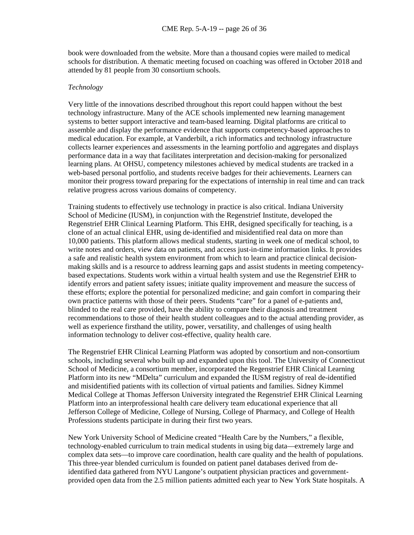book were downloaded from the website. More than a thousand copies were mailed to medical schools for distribution. A thematic meeting focused on coaching was offered in October 2018 and attended by 81 people from 30 consortium schools.

#### *Technology*

Very little of the innovations described throughout this report could happen without the best technology infrastructure. Many of the ACE schools implemented new learning management systems to better support interactive and team-based learning. Digital platforms are critical to assemble and display the performance evidence that supports competency-based approaches to medical education. For example, at Vanderbilt, a rich informatics and technology infrastructure collects learner experiences and assessments in the learning portfolio and aggregates and displays performance data in a way that facilitates interpretation and decision-making for personalized learning plans. At OHSU, competency milestones achieved by medical students are tracked in a web-based personal portfolio, and students receive badges for their achievements. Learners can monitor their progress toward preparing for the expectations of internship in real time and can track relative progress across various domains of competency.

Training students to effectively use technology in practice is also critical. Indiana University School of Medicine (IUSM), in conjunction with the Regenstrief Institute, developed the Regenstrief EHR Clinical Learning Platform. This EHR, designed specifically for teaching, is a clone of an actual clinical EHR, using de-identified and misidentified real data on more than 10,000 patients. This platform allows medical students, starting in week one of medical school, to write notes and orders, view data on patients, and access just-in-time information links. It provides a safe and realistic health system environment from which to learn and practice clinical decisionmaking skills and is a resource to address learning gaps and assist students in meeting competencybased expectations. Students work within a virtual health system and use the Regenstrief EHR to identify errors and patient safety issues; initiate quality improvement and measure the success of these efforts; explore the potential for personalized medicine; and gain comfort in comparing their own practice patterns with those of their peers. Students "care" for a panel of e-patients and, blinded to the real care provided, have the ability to compare their diagnosis and treatment recommendations to those of their health student colleagues and to the actual attending provider, as well as experience firsthand the utility, power, versatility, and challenges of using health information technology to deliver cost-effective, quality health care.

The Regenstrief EHR Clinical Learning Platform was adopted by consortium and non-consortium schools, including several who built up and expanded upon this tool. The University of Connecticut School of Medicine, a consortium member, incorporated the Regenstrief EHR Clinical Learning Platform into its new "MDelta" curriculum and expanded the IUSM registry of real de-identified and misidentified patients with its collection of virtual patients and families. Sidney Kimmel Medical College at Thomas Jefferson University integrated the Regenstrief EHR Clinical Learning Platform into an interprofessional health care delivery team educational experience that all Jefferson College of Medicine, College of Nursing, College of Pharmacy, and College of Health Professions students participate in during their first two years.

New York University School of Medicine created "Health Care by the Numbers," a flexible, technology-enabled curriculum to train medical students in using big data—extremely large and complex data sets—to improve care coordination, health care quality and the health of populations. This three-year blended curriculum is founded on patient panel databases derived from deidentified data gathered from NYU Langone's outpatient physician practices and governmentprovided open data from the 2.5 million patients admitted each year to New York State hospitals. A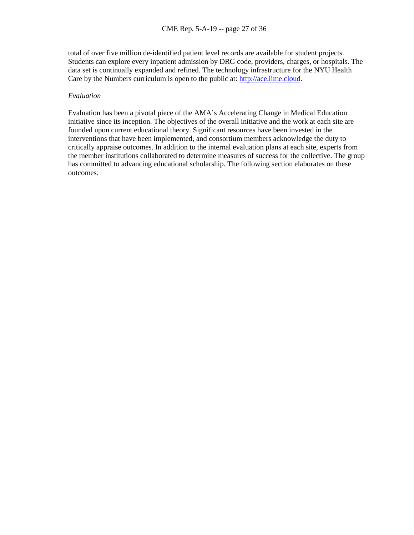total of over five million de-identified patient level records are available for student projects. Students can explore every inpatient admission by DRG code, providers, charges, or hospitals. The data set is continually expanded and refined. The technology infrastructure for the NYU Health Care by the Numbers curriculum is open to the public at: [http://ace.iime.cloud.](http://ace.iime.cloud/)

#### *Evaluation*

Evaluation has been a pivotal piece of the AMA's Accelerating Change in Medical Education initiative since its inception. The objectives of the overall initiative and the work at each site are founded upon current educational theory. Significant resources have been invested in the interventions that have been implemented, and consortium members acknowledge the duty to critically appraise outcomes. In addition to the internal evaluation plans at each site, experts from the member institutions collaborated to determine measures of success for the collective. The group has committed to advancing educational scholarship. The following section elaborates on these outcomes.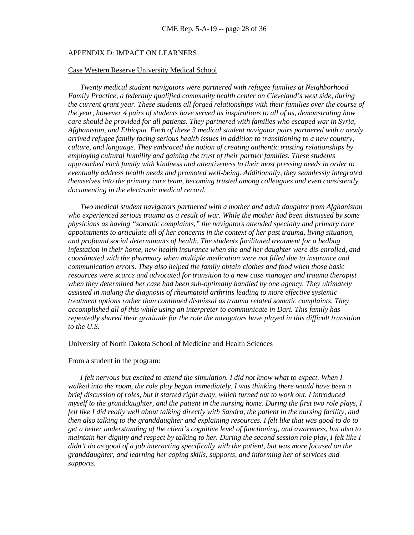#### APPENDIX D: IMPACT ON LEARNERS

#### Case Western Reserve University Medical School

*Twenty medical student navigators were partnered with refugee families at Neighborhood Family Practice, a federally qualified community health center on Cleveland's west side, during the current grant year. These students all forged relationships with their families over the course of the year, however 4 pairs of students have served as inspirations to all of us, demonstrating how care should be provided for all patients. They partnered with families who escaped war in Syria, Afghanistan, and Ethiopia. Each of these 3 medical student navigator pairs partnered with a newly arrived refugee family facing serious health issues in addition to transitioning to a new country, culture, and language. They embraced the notion of creating authentic trusting relationships by employing cultural humility and gaining the trust of their partner families. These students approached each family with kindness and attentiveness to their most pressing needs in order to eventually address health needs and promoted well-being. Additionally, they seamlessly integrated themselves into the primary care team, becoming trusted among colleagues and even consistently documenting in the electronic medical record.* 

*Two medical student navigators partnered with a mother and adult daughter from Afghanistan who experienced serious trauma as a result of war. While the mother had been dismissed by some physicians as having "somatic complaints," the navigators attended specialty and primary care appointments to articulate all of her concerns in the context of her past trauma, living situation, and profound social determinants of health. The students facilitated treatment for a bedbug infestation in their home, new health insurance when she and her daughter were dis-enrolled, and coordinated with the pharmacy when multiple medication were not filled due to insurance and communication errors. They also helped the family obtain clothes and food when those basic resources were scarce and advocated for transition to a new case manager and trauma therapist when they determined her case had been sub-optimally handled by one agency. They ultimately assisted in making the diagnosis of rheumatoid arthritis leading to more effective systemic treatment options rather than continued dismissal as trauma related somatic complaints. They accomplished all of this while using an interpreter to communicate in Dari. This family has repeatedly shared their gratitude for the role the navigators have played in this difficult transition to the U.S.*

#### University of North Dakota School of Medicine and Health Sciences

#### From a student in the program:

*I* felt nervous but excited to attend the simulation. I did not know what to expect. When I *walked into the room, the role play began immediately. I was thinking there would have been a brief discussion of roles, but it started right away, which turned out to work out. I introduced myself to the granddaughter, and the patient in the nursing home. During the first two role plays, I felt like I did really well about talking directly with Sandra, the patient in the nursing facility, and then also talking to the granddaughter and explaining resources. I felt like that was good to do to get a better understanding of the client's cognitive level of functioning, and awareness, but also to maintain her dignity and respect by talking to her. During the second session role play, I felt like I didn't do as good of a job interacting specifically with the patient, but was more focused on the granddaughter, and learning her coping skills, supports, and informing her of services and supports.*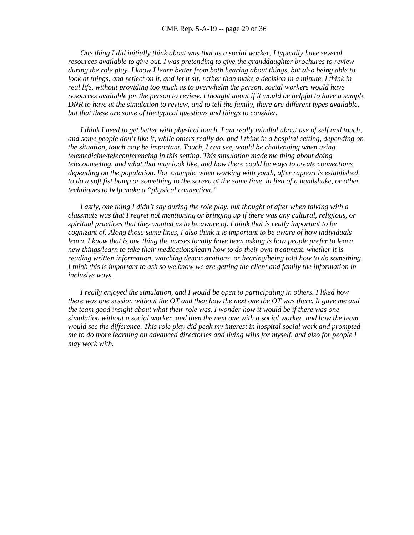*One thing I did initially think about was that as a social worker, I typically have several resources available to give out. I was pretending to give the granddaughter brochures to review during the role play. I know I learn better from both hearing about things, but also being able to look at things, and reflect on it, and let it sit, rather than make a decision in a minute. I think in real life, without providing too much as to overwhelm the person, social workers would have resources available for the person to review. I thought about if it would be helpful to have a sample DNR to have at the simulation to review, and to tell the family, there are different types available, but that these are some of the typical questions and things to consider.* 

*I think I need to get better with physical touch. I am really mindful about use of self and touch, and some people don't like it, while others really do, and I think in a hospital setting, depending on the situation, touch may be important. Touch, I can see, would be challenging when using telemedicine/teleconferencing in this setting. This simulation made me thing about doing telecounseling, and what that may look like, and how there could be ways to create connections depending on the population. For example, when working with youth, after rapport is established, to do a soft fist bump or something to the screen at the same time, in lieu of a handshake, or other techniques to help make a "physical connection."*

Lastly, one thing I didn't say during the role play, but thought of after when talking with a *classmate was that I regret not mentioning or bringing up if there was any cultural, religious, or spiritual practices that they wanted us to be aware of. I think that is really important to be cognizant of. Along those same lines, I also think it is important to be aware of how individuals learn. I know that is one thing the nurses locally have been asking is how people prefer to learn new things/learn to take their medications/learn how to do their own treatment, whether it is reading written information, watching demonstrations, or hearing/being told how to do something. I think this is important to ask so we know we are getting the client and family the information in inclusive ways.* 

*I really enjoyed the simulation, and I would be open to participating in others. I liked how there was one session without the OT and then how the next one the OT was there. It gave me and the team good insight about what their role was. I wonder how it would be if there was one simulation without a social worker, and then the next one with a social worker, and how the team would see the difference. This role play did peak my interest in hospital social work and prompted me to do more learning on advanced directories and living wills for myself, and also for people I may work with.*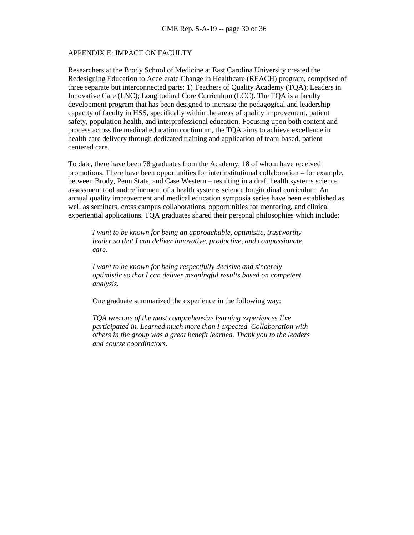#### APPENDIX E: IMPACT ON FACULTY

Researchers at the Brody School of Medicine at East Carolina University created the Redesigning Education to Accelerate Change in Healthcare (REACH) program, comprised of three separate but interconnected parts: 1) Teachers of Quality Academy (TQA); Leaders in Innovative Care (LNC); Longitudinal Core Curriculum (LCC). The TQA is a faculty development program that has been designed to increase the pedagogical and leadership capacity of faculty in HSS, specifically within the areas of quality improvement, patient safety, population health, and interprofessional education. Focusing upon both content and process across the medical education continuum, the TQA aims to achieve excellence in health care delivery through dedicated training and application of team-based, patientcentered care.

To date, there have been 78 graduates from the Academy, 18 of whom have received promotions. There have been opportunities for interinstitutional collaboration – for example, between Brody, Penn State, and Case Western – resulting in a draft health systems science assessment tool and refinement of a health systems science longitudinal curriculum. An annual quality improvement and medical education symposia series have been established as well as seminars, cross campus collaborations, opportunities for mentoring, and clinical experiential applications. TQA graduates shared their personal philosophies which include:

*I want to be known for being an approachable, optimistic, trustworthy leader so that I can deliver innovative, productive, and compassionate care.*

*I want to be known for being respectfully decisive and sincerely optimistic so that I can deliver meaningful results based on competent analysis.*

One graduate summarized the experience in the following way:

*TQA was one of the most comprehensive learning experiences I've participated in. Learned much more than I expected. Collaboration with others in the group was a great benefit learned. Thank you to the leaders and course coordinators.*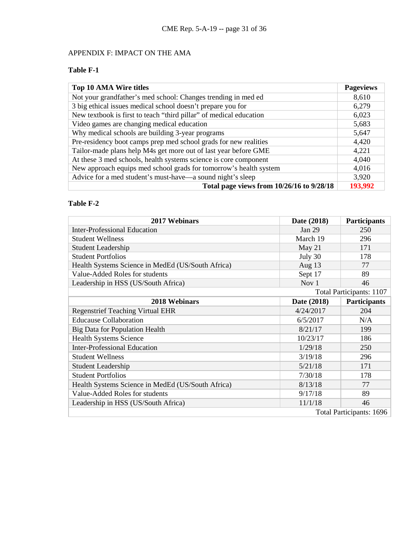# APPENDIX F: IMPACT ON THE AMA

# **Table F-1**

| Top 10 AMA Wire titles                                             | <b>Pageviews</b> |
|--------------------------------------------------------------------|------------------|
| Not your grandfather's med school: Changes trending in med ed      | 8,610            |
| 3 big ethical issues medical school doesn't prepare you for        | 6,279            |
| New textbook is first to teach "third pillar" of medical education | 6,023            |
| Video games are changing medical education                         | 5,683            |
| Why medical schools are building 3-year programs                   | 5,647            |
| Pre-residency boot camps prep med school grads for new realities   | 4,420            |
| Tailor-made plans help M4s get more out of last year before GME    | 4,221            |
| At these 3 med schools, health systems science is core component   | 4,040            |
| New approach equips med school grads for tomorrow's health system  | 4,016            |
| Advice for a med student's must-have—a sound night's sleep         | 3,920            |
| Total page views from 10/26/16 to 9/28/18                          | 193,992          |

# **Table F-2**

| 2017 Webinars                                     | Date (2018) | <b>Participants</b>      |
|---------------------------------------------------|-------------|--------------------------|
| <b>Inter-Professional Education</b>               | Jan 29      | 250                      |
| <b>Student Wellness</b>                           | March 19    | 296                      |
| Student Leadership                                | May 21      | 171                      |
| <b>Student Portfolios</b>                         | July 30     | 178                      |
| Health Systems Science in MedEd (US/South Africa) | Aug $13$    | 77                       |
| Value-Added Roles for students                    | Sept 17     | 89                       |
| Leadership in HSS (US/South Africa)               | Nov 1       | 46                       |
|                                                   |             | Total Participants: 1107 |
| 2018 Webinars                                     | Date (2018) | Participants             |
| <b>Regenstrief Teaching Virtual EHR</b>           | 4/24/2017   | 204                      |
| <b>Educause Collaboration</b>                     | 6/5/2017    | N/A                      |
| Big Data for Population Health                    | 8/21/17     | 199                      |
| <b>Health Systems Science</b>                     | 10/23/17    | 186                      |
| <b>Inter-Professional Education</b>               | 1/29/18     | 250                      |
| <b>Student Wellness</b>                           | 3/19/18     | 296                      |
| <b>Student Leadership</b>                         | 5/21/18     | 171                      |
| <b>Student Portfolios</b>                         | 7/30/18     | 178                      |
| Health Systems Science in MedEd (US/South Africa) | 8/13/18     | 77                       |
| Value-Added Roles for students                    | 9/17/18     | 89                       |
| Leadership in HSS (US/South Africa)               | 11/1/18     | 46                       |
|                                                   |             | Total Participants: 1696 |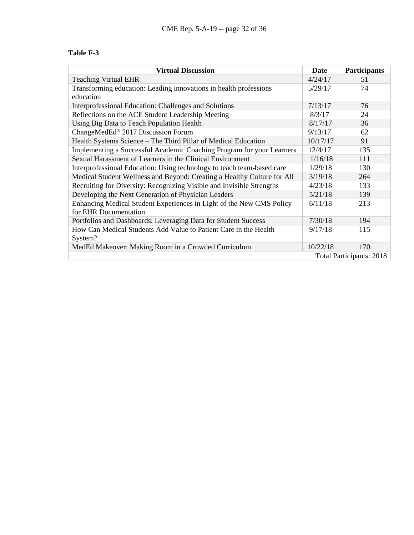## **Table F-3**

| <b>Virtual Discussion</b>                                               | Date     | Participants                    |
|-------------------------------------------------------------------------|----------|---------------------------------|
| <b>Teaching Virtual EHR</b>                                             | 4/24/17  | 51                              |
| Transforming education: Leading innovations in health professions       | 5/29/17  | 74                              |
| education                                                               |          |                                 |
| Interprofessional Education: Challenges and Solutions                   | 7/13/17  | 76                              |
| Reflections on the ACE Student Leadership Meeting                       | 8/3/17   | 24                              |
| Using Big Data to Teach Population Health                               | 8/17/17  | 36                              |
| ChangeMedEd® 2017 Discussion Forum                                      | 9/13/17  | 62                              |
| Health Systems Science – The Third Pillar of Medical Education          | 10/17/17 | 91                              |
| Implementing a Successful Academic Coaching Program for your Learners   | 12/4/17  | 135                             |
| Sexual Harassment of Learners in the Clinical Environment               | 1/16/18  | 111                             |
| Interprofessional Education: Using technology to teach team-based care  | 1/29/18  | 130                             |
| Medical Student Wellness and Beyond: Creating a Healthy Culture for All | 3/19/18  | 264                             |
| Recruiting for Diversity: Recognizing Visible and Invisible Strengths   | 4/23/18  | 133                             |
| Developing the Next Generation of Physician Leaders                     | 5/21/18  | 139                             |
| Enhancing Medical Student Experiences in Light of the New CMS Policy    |          | 213                             |
| for EHR Documentation                                                   |          |                                 |
| Portfolios and Dashboards: Leveraging Data for Student Success          | 7/30/18  | 194                             |
| How Can Medical Students Add Value to Patient Care in the Health        |          | 115                             |
| System?                                                                 |          |                                 |
| MedEd Makeover: Making Room in a Crowded Curriculum                     | 10/22/18 | 170                             |
|                                                                         |          | <b>Total Participants: 2018</b> |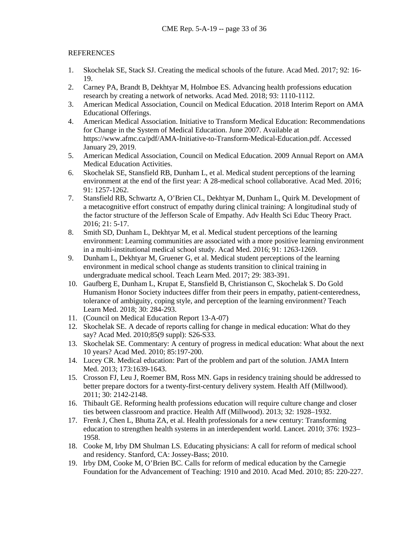## REFERENCES

- 1. Skochelak SE, Stack SJ. Creating the medical schools of the future. Acad Med. 2017; 92: 16- 19.
- 2. Carney PA, Brandt B, Dekhtyar M, Holmboe ES. Advancing health professions education research by creating a network of networks. Acad Med. 2018; 93: 1110-1112.
- 3. American Medical Association, Council on Medical Education. 2018 Interim Report on AMA Educational Offerings.
- 4. American Medical Association. Initiative to Transform Medical Education: Recommendations for Change in the System of Medical Education. June 2007. Available at https://www.afmc.ca/pdf/AMA-Initiative-to-Transform-Medical-Education.pdf. Accessed January 29, 2019.
- 5. American Medical Association, Council on Medical Education. 2009 Annual Report on AMA Medical Education Activities.
- 6. Skochelak SE, Stansfield RB, Dunham L, et al. Medical student perceptions of the learning environment at the end of the first year: A 28-medical school collaborative. Acad Med. 2016; 91: 1257-1262.
- 7. Stansfield RB, Schwartz A, O'Brien CL, Dekhtyar M, Dunham L, Quirk M. Development of a metacognitive effort construct of empathy during clinical training: A longitudinal study of the factor structure of the Jefferson Scale of Empathy. Adv Health Sci Educ Theory Pract. 2016; 21: 5-17.
- 8. Smith SD, Dunham L, Dekhtyar M, et al. Medical student perceptions of the learning environment: Learning communities are associated with a more positive learning environment in a multi-institutional medical school study. Acad Med. 2016; 91: 1263-1269.
- 9. Dunham L, Dekhtyar M, Gruener G, et al. Medical student perceptions of the learning environment in medical school change as students transition to clinical training in undergraduate medical school. Teach Learn Med. 2017; 29: 383-391.
- 10. Gaufberg E, Dunham L, Krupat E, Stansfield B, Christianson C, Skochelak S. Do Gold Humanism Honor Society inductees differ from their peers in empathy, patient-centeredness, tolerance of ambiguity, coping style, and perception of the learning environment? Teach Learn Med. 2018; 30: 284-293.
- 11. (Council on Medical Education Report 13-A-07)
- 12. Skochelak SE. A decade of reports calling for change in medical education: What do they say? Acad Med. 2010;85(9 suppl): S26-S33.
- 13. Skochelak SE. Commentary: A century of progress in medical education: What about the next 10 years? Acad Med. 2010; 85:197-200.
- 14. Lucey CR. Medical education: Part of the problem and part of the solution. JAMA Intern Med. 2013: 173:1639-1643.
- 15. Crosson FJ, Leu J, Roemer BM, Ross MN. Gaps in residency training should be addressed to better prepare doctors for a twenty-first-century delivery system. Health Aff (Millwood). 2011; 30: 2142-2148.
- 16. Thibault GE. Reforming health professions education will require culture change and closer ties between classroom and practice. Health Aff (Millwood). 2013; 32: 1928–1932.
- 17. Frenk J, Chen L, Bhutta ZA, et al. Health professionals for a new century: Transforming education to strengthen health systems in an interdependent world. Lancet. 2010; 376: 1923– 1958.
- 18. Cooke M, Irby DM Shulman LS. Educating physicians: A call for reform of medical school and residency. Stanford, CA: Jossey-Bass; 2010.
- 19. Irby DM, Cooke M, O'Brien BC. Calls for reform of medical education by the Carnegie Foundation for the Advancement of Teaching: 1910 and 2010. Acad Med. 2010; 85: 220-227.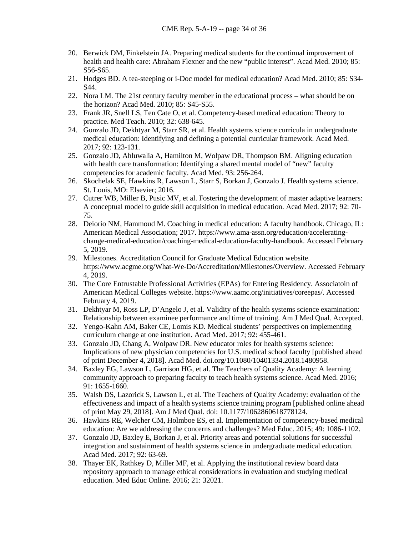- 20. Berwick DM, Finkelstein JA. Preparing medical students for the continual improvement of health and health care: Abraham Flexner and the new "public interest". Acad Med. 2010; 85: S56-S65.
- 21. Hodges BD. A tea-steeping or i-Doc model for medical education? Acad Med. 2010; 85: S34- S44.
- 22. Nora LM. The 21st century faculty member in the educational process what should be on the horizon? Acad Med. 2010; 85: S45-S55.
- 23. Frank JR, Snell LS, Ten Cate O, et al. Competency-based medical education: Theory to practice. Med Teach. 2010; 32: 638-645.
- 24. Gonzalo JD, Dekhtyar M, Starr SR, et al. Health systems science curricula in undergraduate medical education: Identifying and defining a potential curricular framework. Acad Med. 2017; 92: 123-131.
- 25. Gonzalo JD, Ahluwalia A, Hamilton M, Wolpaw DR, Thompson BM. Aligning education with health care transformation: Identifying a shared mental model of "new" faculty competencies for academic faculty. Acad Med. 93: 256-264.
- 26. Skochelak SE, Hawkins R, Lawson L, Starr S, Borkan J, Gonzalo J. Health systems science. St. Louis, MO: Elsevier; 2016.
- 27. Cutrer WB, Miller B, Pusic MV, et al. Fostering the development of master adaptive learners: A conceptual model to guide skill acquisition in medical education. Acad Med. 2017; 92: 70- 75.
- 28. Deiorio NM, Hammoud M. Coaching in medical education: A faculty handbook. Chicago, IL: American Medical Association; 2017. https://www.ama-assn.org/education/acceleratingchange-medical-education/coaching-medical-education-faculty-handbook. Accessed February 5, 2019.
- 29. Milestones. Accreditation Council for Graduate Medical Education website. https://www.acgme.org/What-We-Do/Accreditation/Milestones/Overview. Accessed February 4, 2019.
- 30. The Core Entrustable Professional Activities (EPAs) for Entering Residency. Associatoin of American Medical Colleges website. https://www.aamc.org/initiatives/coreepas/. Accessed February 4, 2019.
- 31. Dekhtyar M, Ross LP, D'Angelo J, et al. Validity of the health systems science examination: Relationship between examinee performance and time of training. Am J Med Qual. Accepted.
- 32. Yengo-Kahn AM, Baker CE, Lomis KD. Medical students' perspectives on implementing curriculum change at one institution. Acad Med. 2017; 92: 455-461.
- 33. Gonzalo JD, Chang A, Wolpaw DR. New educator roles for health systems science: Implications of new physician competencies for U.S. medical school faculty [published ahead of print December 4, 2018]. Acad Med. doi.org/10.1080/10401334.2018.1480958.
- 34. Baxley EG, Lawson L, Garrison HG, et al. The Teachers of Quality Academy: A learning community approach to preparing faculty to teach health systems science. Acad Med. 2016; 91: 1655-1660.
- 35. Walsh DS, Lazorick S, Lawson L, et al. The Teachers of Quality Academy: evaluation of the effectiveness and impact of a health systems science training program [published online ahead of print May 29, 2018]. Am J Med Qual. doi: 10.1177/1062860618778124.
- 36. Hawkins RE, Welcher CM, Holmboe ES, et al. Implementation of competency-based medical education: Are we addressing the concerns and challenges? Med Educ. 2015; 49: 1086-1102.
- 37. Gonzalo JD, Baxley E, Borkan J, et al. Priority areas and potential solutions for successful integration and sustainment of health systems science in undergraduate medical education. Acad Med. 2017; 92: 63-69.
- 38. Thayer EK, Rathkey D, Miller MF, et al. Applying the institutional review board data repository approach to manage ethical considerations in evaluation and studying medical education. Med Educ Online. 2016; 21: 32021.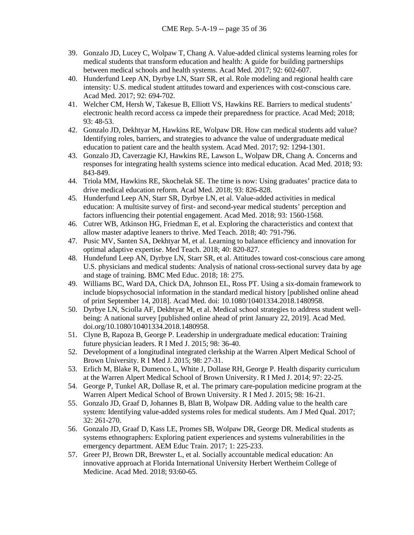- 39. Gonzalo JD, Lucey C, Wolpaw T, Chang A. Value-added clinical systems learning roles for medical students that transform education and health: A guide for building partnerships between medical schools and health systems. Acad Med. 2017; 92: 602-607.
- 40. Hunderfund Leep AN, Dyrbye LN, Starr SR, et al. Role modeling and regional health care intensity: U.S. medical student attitudes toward and experiences with cost-conscious care. Acad Med. 2017; 92: 694-702.
- 41. Welcher CM, Hersh W, Takesue B, Elliott VS, Hawkins RE. Barriers to medical students' electronic health record access ca impede their preparedness for practice. Acad Med; 2018; 93: 48-53.
- 42. Gonzalo JD, Dekhtyar M, Hawkins RE, Wolpaw DR. How can medical students add value? Identifying roles, barriers, and strategies to advance the value of undergraduate medical education to patient care and the health system. Acad Med. 2017; 92: 1294-1301.
- 43. Gonzalo JD, Caverzagie KJ, Hawkins RE, Lawson L, Wolpaw DR, Chang A. Concerns and responses for integrating health systems science into medical education. Acad Med. 2018; 93: 843-849.
- 44. Triola MM, Hawkins RE, Skochelak SE. The time is now: Using graduates' practice data to drive medical education reform. Acad Med. 2018; 93: 826-828.
- 45. Hunderfund Leep AN, Starr SR, Dyrbye LN, et al. Value-added activities in medical education: A multisite survey of first- and second-year medical students' perception and factors influencing their potential engagement. Acad Med. 2018; 93: 1560-1568.
- 46. Cutrer WB, Atkinson HG, Friedman E, et al. Exploring the characteristics and context that allow master adaptive leaners to thrive. Med Teach. 2018; 40: 791-796.
- 47. Pusic MV, Santen SA, Dekhtyar M, et al. Learning to balance efficiency and innovation for optimal adaptive expertise. Med Teach. 2018; 40: 820-827.
- 48. Hundefund Leep AN, Dyrbye LN, Starr SR, et al. Attitudes toward cost-conscious care among U.S. physicians and medical students: Analysis of national cross-sectional survey data by age and stage of training. BMC Med Educ. 2018; 18: 275.
- 49. Williams BC, Ward DA, Chick DA, Johnson EL, Ross PT. Using a six-domain framework to include biopsychosocial information in the standard medical history [published online ahead of print September 14, 2018]. Acad Med. doi: 10.1080/10401334.2018.1480958.
- 50. Dyrbye LN, Sciolla AF, Dekhtyar M, et al. Medical school strategies to address student wellbeing: A national survey [published online ahead of print January 22, 2019]. Acad Med. doi.org/10.1080/10401334.2018.1480958.
- 51. Clyne B, Rapoza B, George P. Leadership in undergraduate medical education: Training future physician leaders. R I Med J. 2015; 98: 36-40.
- 52. Development of a longitudinal integrated clerkship at the Warren Alpert Medical School of Brown University. R I Med J. 2015; 98: 27-31.
- 53. Erlich M, Blake R, Dumenco L, White J, Dollase RH, George P. Health disparity curriculum at the Warren Alpert Medical School of Brown University. R I Med J. 2014; 97: 22-25.
- 54. George P, Tunkel AR, Dollase R, et al. The primary care-population medicine program at the Warren Alpert Medical School of Brown University. R I Med J. 2015; 98: 16-21.
- 55. Gonzalo JD, Graaf D, Johannes B, Blatt B, Wolpaw DR. Adding value to the health care system: Identifying value-added systems roles for medical students. Am J Med Qual. 2017; 32: 261-270.
- 56. Gonzalo JD, Graaf D, Kass LE, Promes SB, Wolpaw DR, George DR. Medical students as systems ethnographers: Exploring patient experiences and systems vulnerabilities in the emergency department. AEM Educ Train. 2017; 1: 225-233.
- 57. Greer PJ, Brown DR, Brewster L, et al. Socially accountable medical education: An innovative approach at Florida International University Herbert Wertheim College of Medicine. Acad Med. 2018; 93:60-65.